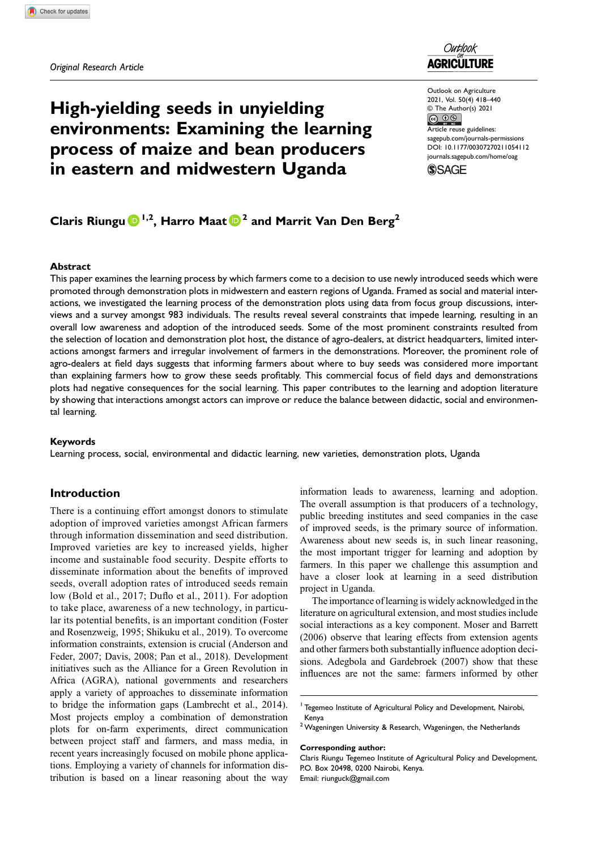# High-yielding seeds in unyielding environments: Examining the learning process of maize and bean producers in eastern and midwestern Uganda



Outlook on Agriculture 2021, Vol. 50(4) 418–440  $\circledcirc$  The Author(s) 2021<br> $\circledcirc$ Article reuse guidelines: [sagepub.com/journals-permissions](https://us.sagepub.com/en-us/journals-permissions) [DOI: 10.1177/00307270211054112](https://doi.org/10.1177/00307270211054112) [journals.sagepub.com/home/oag](https://journals.sagepub.com/home/oag)



# Claris Riungu  $\bigcirc^{1,2}$ , Harro Maat  $\bigcirc^{2}$  and Marrit Van Den Berg<sup>2</sup>

### Abstract

This paper examines the learning process by which farmers come to a decision to use newly introduced seeds which were promoted through demonstration plots in midwestern and eastern regions of Uganda. Framed as social and material interactions, we investigated the learning process of the demonstration plots using data from focus group discussions, interviews and a survey amongst 983 individuals. The results reveal several constraints that impede learning, resulting in an overall low awareness and adoption of the introduced seeds. Some of the most prominent constraints resulted from the selection of location and demonstration plot host, the distance of agro-dealers, at district headquarters, limited interactions amongst farmers and irregular involvement of farmers in the demonstrations. Moreover, the prominent role of agro-dealers at field days suggests that informing farmers about where to buy seeds was considered more important than explaining farmers how to grow these seeds profitably. This commercial focus of field days and demonstrations plots had negative consequences for the social learning. This paper contributes to the learning and adoption literature by showing that interactions amongst actors can improve or reduce the balance between didactic, social and environmental learning.

#### Keywords

Learning process, social, environmental and didactic learning, new varieties, demonstration plots, Uganda

## Introduction

There is a continuing effort amongst donors to stimulate adoption of improved varieties amongst African farmers through information dissemination and seed distribution. Improved varieties are key to increased yields, higher income and sustainable food security. Despite efforts to disseminate information about the benefits of improved seeds, overall adoption rates of introduced seeds remain low (Bold et al., 2017; Duflo et al., 2011). For adoption to take place, awareness of a new technology, in particular its potential benefits, is an important condition (Foster and Rosenzweig, 1995; Shikuku et al., 2019). To overcome information constraints, extension is crucial (Anderson and Feder, 2007; Davis, 2008; Pan et al., 2018). Development initiatives such as the Alliance for a Green Revolution in Africa (AGRA), national governments and researchers apply a variety of approaches to disseminate information to bridge the information gaps (Lambrecht et al., 2014). Most projects employ a combination of demonstration plots for on-farm experiments, direct communication between project staff and farmers, and mass media, in recent years increasingly focused on mobile phone applications. Employing a variety of channels for information distribution is based on a linear reasoning about the way

information leads to awareness, learning and adoption. The overall assumption is that producers of a technology, public breeding institutes and seed companies in the case of improved seeds, is the primary source of information. Awareness about new seeds is, in such linear reasoning, the most important trigger for learning and adoption by farmers. In this paper we challenge this assumption and have a closer look at learning in a seed distribution project in Uganda.

The importance of learning is widely acknowledged in the literature on agricultural extension, and most studies include social interactions as a key component. Moser and Barrett (2006) observe that learing effects from extension agents and other farmers both substantially influence adoption decisions. Adegbola and Gardebroek (2007) show that these influences are not the same: farmers informed by other

#### Corresponding author:

<sup>&</sup>lt;sup>1</sup> Tegemeo Institute of Agricultural Policy and Development, Nairobi, Kenya

 $2$  Wageningen University & Research, Wageningen, the Netherlands

Claris Riungu Tegemeo Institute of Agricultural Policy and Development, P.O. Box 20498, 0200 Nairobi, Kenya. Email: [riunguck@gmail.com](mailto:riunguck@gmail.com)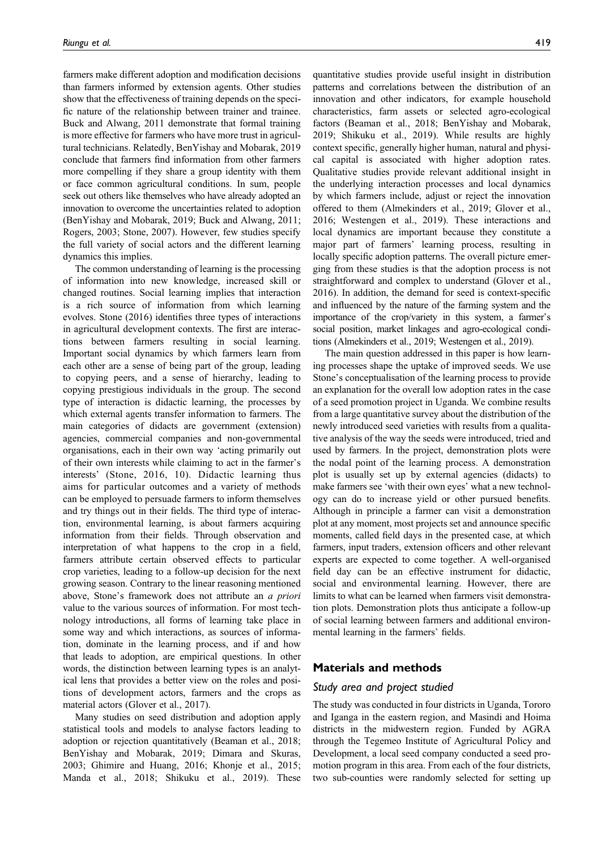farmers make different adoption and modification decisions than farmers informed by extension agents. Other studies show that the effectiveness of training depends on the specific nature of the relationship between trainer and trainee. Buck and Alwang, 2011 demonstrate that formal training is more effective for farmers who have more trust in agricultural technicians. Relatedly, BenYishay and Mobarak, 2019 conclude that farmers find information from other farmers more compelling if they share a group identity with them or face common agricultural conditions. In sum, people seek out others like themselves who have already adopted an innovation to overcome the uncertainties related to adoption (BenYishay and Mobarak, 2019; Buck and Alwang, 2011; Rogers, 2003; Stone, 2007). However, few studies specify the full variety of social actors and the different learning dynamics this implies.

The common understanding of learning is the processing of information into new knowledge, increased skill or changed routines. Social learning implies that interaction is a rich source of information from which learning evolves. Stone (2016) identifies three types of interactions in agricultural development contexts. The first are interactions between farmers resulting in social learning. Important social dynamics by which farmers learn from each other are a sense of being part of the group, leading to copying peers, and a sense of hierarchy, leading to copying prestigious individuals in the group. The second type of interaction is didactic learning, the processes by which external agents transfer information to farmers. The main categories of didacts are government (extension) agencies, commercial companies and non-governmental organisations, each in their own way 'acting primarily out of their own interests while claiming to act in the farmer's interests' (Stone, 2016, 10). Didactic learning thus aims for particular outcomes and a variety of methods can be employed to persuade farmers to inform themselves and try things out in their fields. The third type of interaction, environmental learning, is about farmers acquiring information from their fields. Through observation and interpretation of what happens to the crop in a field, farmers attribute certain observed effects to particular crop varieties, leading to a follow-up decision for the next growing season. Contrary to the linear reasoning mentioned above, Stone's framework does not attribute an a priori value to the various sources of information. For most technology introductions, all forms of learning take place in some way and which interactions, as sources of information, dominate in the learning process, and if and how that leads to adoption, are empirical questions. In other words, the distinction between learning types is an analytical lens that provides a better view on the roles and positions of development actors, farmers and the crops as material actors (Glover et al., 2017).

Many studies on seed distribution and adoption apply statistical tools and models to analyse factors leading to adoption or rejection quantitatively (Beaman et al., 2018; BenYishay and Mobarak, 2019; Dimara and Skuras, 2003; Ghimire and Huang, 2016; Khonje et al., 2015; Manda et al., 2018; Shikuku et al., 2019). These quantitative studies provide useful insight in distribution patterns and correlations between the distribution of an innovation and other indicators, for example household characteristics, farm assets or selected agro-ecological factors (Beaman et al., 2018; BenYishay and Mobarak, 2019; Shikuku et al., 2019). While results are highly context specific, generally higher human, natural and physical capital is associated with higher adoption rates. Qualitative studies provide relevant additional insight in the underlying interaction processes and local dynamics by which farmers include, adjust or reject the innovation offered to them (Almekinders et al., 2019; Glover et al., 2016; Westengen et al., 2019). These interactions and local dynamics are important because they constitute a major part of farmers' learning process, resulting in locally specific adoption patterns. The overall picture emerging from these studies is that the adoption process is not straightforward and complex to understand (Glover et al., 2016). In addition, the demand for seed is context-specific and influenced by the nature of the farming system and the importance of the crop/variety in this system, a farmer's social position, market linkages and agro-ecological conditions (Almekinders et al., 2019; Westengen et al., 2019).

The main question addressed in this paper is how learning processes shape the uptake of improved seeds. We use Stone's conceptualisation of the learning process to provide an explanation for the overall low adoption rates in the case of a seed promotion project in Uganda. We combine results from a large quantitative survey about the distribution of the newly introduced seed varieties with results from a qualitative analysis of the way the seeds were introduced, tried and used by farmers. In the project, demonstration plots were the nodal point of the learning process. A demonstration plot is usually set up by external agencies (didacts) to make farmers see 'with their own eyes' what a new technology can do to increase yield or other pursued benefits. Although in principle a farmer can visit a demonstration plot at any moment, most projects set and announce specific moments, called field days in the presented case, at which farmers, input traders, extension officers and other relevant experts are expected to come together. A well-organised field day can be an effective instrument for didactic, social and environmental learning. However, there are limits to what can be learned when farmers visit demonstration plots. Demonstration plots thus anticipate a follow-up of social learning between farmers and additional environmental learning in the farmers' fields.

### Materials and methods

### Study area and project studied

The study was conducted in four districts in Uganda, Tororo and Iganga in the eastern region, and Masindi and Hoima districts in the midwestern region. Funded by AGRA through the Tegemeo Institute of Agricultural Policy and Development, a local seed company conducted a seed promotion program in this area. From each of the four districts, two sub-counties were randomly selected for setting up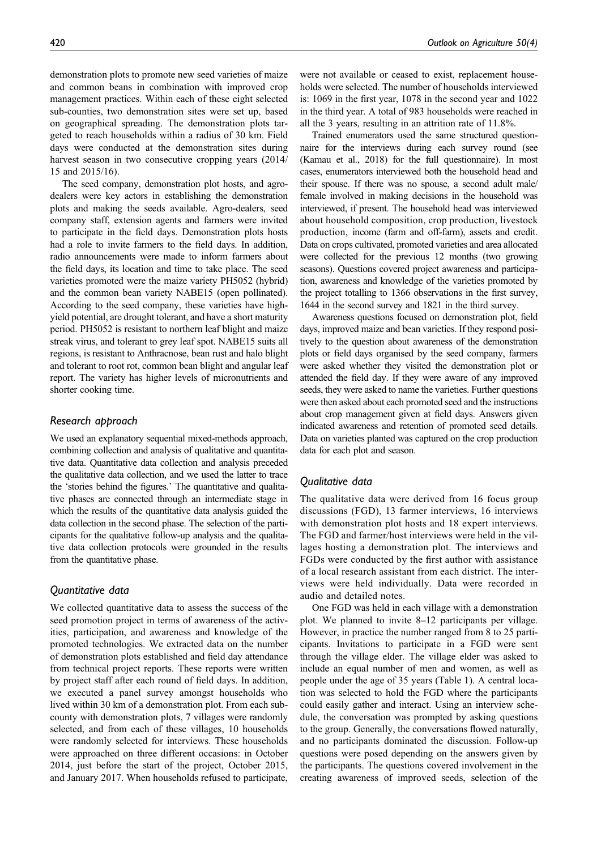demonstration plots to promote new seed varieties of maize and common beans in combination with improved crop management practices. Within each of these eight selected sub-counties, two demonstration sites were set up, based on geographical spreading. The demonstration plots targeted to reach households within a radius of 30 km. Field days were conducted at the demonstration sites during harvest season in two consecutive cropping years (2014/ 15 and 2015/16).

The seed company, demonstration plot hosts, and agrodealers were key actors in establishing the demonstration plots and making the seeds available. Agro-dealers, seed company staff, extension agents and farmers were invited to participate in the field days. Demonstration plots hosts had a role to invite farmers to the field days. In addition, radio announcements were made to inform farmers about the field days, its location and time to take place. The seed varieties promoted were the maize variety PH5052 (hybrid) and the common bean variety NABE15 (open pollinated). According to the seed company, these varieties have highyield potential, are drought tolerant, and have a short maturity period. PH5052 is resistant to northern leaf blight and maize streak virus, and tolerant to grey leaf spot. NABE15 suits all regions, is resistant to Anthracnose, bean rust and halo blight and tolerant to root rot, common bean blight and angular leaf report. The variety has higher levels of micronutrients and shorter cooking time.

### Research approach

We used an explanatory sequential mixed-methods approach, combining collection and analysis of qualitative and quantitative data. Quantitative data collection and analysis preceded the qualitative data collection, and we used the latter to trace the 'stories behind the figures.' The quantitative and qualitative phases are connected through an intermediate stage in which the results of the quantitative data analysis guided the data collection in the second phase. The selection of the participants for the qualitative follow-up analysis and the qualitative data collection protocols were grounded in the results from the quantitative phase.

## Quantitative data

We collected quantitative data to assess the success of the seed promotion project in terms of awareness of the activities, participation, and awareness and knowledge of the promoted technologies. We extracted data on the number of demonstration plots established and field day attendance from technical project reports. These reports were written by project staff after each round of field days. In addition, we executed a panel survey amongst households who lived within 30 km of a demonstration plot. From each subcounty with demonstration plots, 7 villages were randomly selected, and from each of these villages, 10 households were randomly selected for interviews. These households were approached on three different occasions: in October 2014, just before the start of the project, October 2015, and January 2017. When households refused to participate, were not available or ceased to exist, replacement households were selected. The number of households interviewed is: 1069 in the first year, 1078 in the second year and 1022 in the third year. A total of 983 households were reached in all the 3 years, resulting in an attrition rate of 11.8%.

Trained enumerators used the same structured questionnaire for the interviews during each survey round (see (Kamau et al., 2018) for the full questionnaire). In most cases, enumerators interviewed both the household head and their spouse. If there was no spouse, a second adult male/ female involved in making decisions in the household was interviewed, if present. The household head was interviewed about household composition, crop production, livestock production, income (farm and off-farm), assets and credit. Data on crops cultivated, promoted varieties and area allocated were collected for the previous 12 months (two growing seasons). Questions covered project awareness and participation, awareness and knowledge of the varieties promoted by the project totalling to 1366 observations in the first survey, 1644 in the second survey and 1821 in the third survey.

Awareness questions focused on demonstration plot, field days, improved maize and bean varieties. If they respond positively to the question about awareness of the demonstration plots or field days organised by the seed company, farmers were asked whether they visited the demonstration plot or attended the field day. If they were aware of any improved seeds, they were asked to name the varieties. Further questions were then asked about each promoted seed and the instructions about crop management given at field days. Answers given indicated awareness and retention of promoted seed details. Data on varieties planted was captured on the crop production data for each plot and season.

## Qualitative data

The qualitative data were derived from 16 focus group discussions (FGD), 13 farmer interviews, 16 interviews with demonstration plot hosts and 18 expert interviews. The FGD and farmer/host interviews were held in the villages hosting a demonstration plot. The interviews and FGDs were conducted by the first author with assistance of a local research assistant from each district. The interviews were held individually. Data were recorded in audio and detailed notes.

One FGD was held in each village with a demonstration plot. We planned to invite 8–12 participants per village. However, in practice the number ranged from 8 to 25 participants. Invitations to participate in a FGD were sent through the village elder. The village elder was asked to include an equal number of men and women, as well as people under the age of 35 years (Table 1). A central location was selected to hold the FGD where the participants could easily gather and interact. Using an interview schedule, the conversation was prompted by asking questions to the group. Generally, the conversations flowed naturally, and no participants dominated the discussion. Follow-up questions were posed depending on the answers given by the participants. The questions covered involvement in the creating awareness of improved seeds, selection of the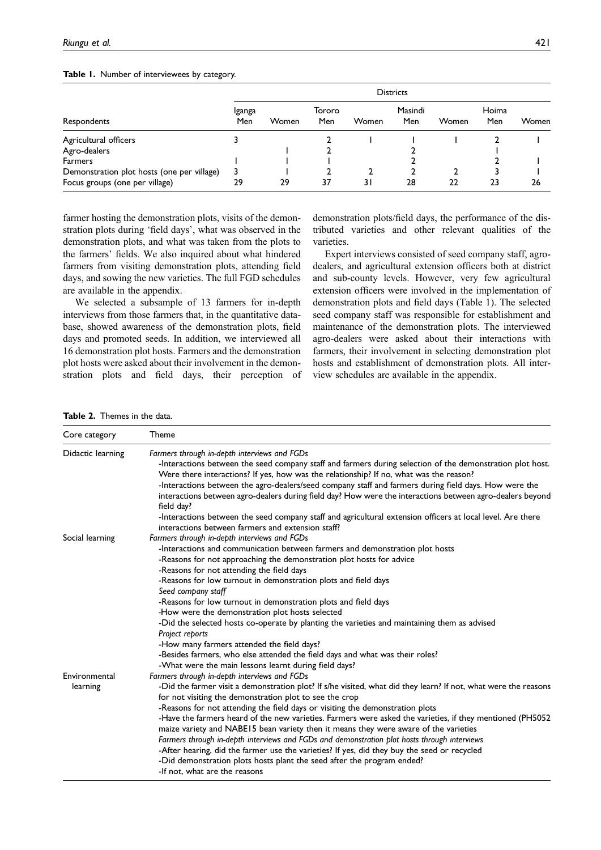### Table 1. Number of interviewees by category.

|                                            | <b>Districts</b> |       |               |       |                |       |              |       |  |
|--------------------------------------------|------------------|-------|---------------|-------|----------------|-------|--------------|-------|--|
| Respondents                                | Iganga<br>Men    | Women | Tororo<br>Men | Women | Masindi<br>Men | Women | Hoima<br>Men | Women |  |
| Agricultural officers                      |                  |       |               |       |                |       |              |       |  |
| Agro-dealers                               |                  |       |               |       |                |       |              |       |  |
| <b>Farmers</b>                             |                  |       |               |       |                |       |              |       |  |
| Demonstration plot hosts (one per village) | 3                |       |               |       |                |       |              |       |  |
| Focus groups (one per village)             | 29               | 29    | 37            | 31    | 28             | 22    | 23           | 26    |  |

farmer hosting the demonstration plots, visits of the demonstration plots during 'field days', what was observed in the demonstration plots, and what was taken from the plots to the farmers' fields. We also inquired about what hindered farmers from visiting demonstration plots, attending field days, and sowing the new varieties. The full FGD schedules are available in the appendix.

We selected a subsample of 13 farmers for in-depth interviews from those farmers that, in the quantitative database, showed awareness of the demonstration plots, field days and promoted seeds. In addition, we interviewed all 16 demonstration plot hosts. Farmers and the demonstration plot hosts were asked about their involvement in the demonstration plots and field days, their perception of demonstration plots/field days, the performance of the distributed varieties and other relevant qualities of the varieties.

Expert interviews consisted of seed company staff, agrodealers, and agricultural extension officers both at district and sub-county levels. However, very few agricultural extension officers were involved in the implementation of demonstration plots and field days (Table 1). The selected seed company staff was responsible for establishment and maintenance of the demonstration plots. The interviewed agro-dealers were asked about their interactions with farmers, their involvement in selecting demonstration plot hosts and establishment of demonstration plots. All interview schedules are available in the appendix.

#### Table 2. Themes in the data.

| Core category     | Theme                                                                                                                                                                                                                            |  |  |  |  |  |  |  |
|-------------------|----------------------------------------------------------------------------------------------------------------------------------------------------------------------------------------------------------------------------------|--|--|--|--|--|--|--|
| Didactic learning | Farmers through in-depth interviews and FGDs                                                                                                                                                                                     |  |  |  |  |  |  |  |
|                   | -Interactions between the seed company staff and farmers during selection of the demonstration plot host.<br>Were there interactions? If yes, how was the relationship? If no, what was the reason?                              |  |  |  |  |  |  |  |
|                   | -Interactions between the agro-dealers/seed company staff and farmers during field days. How were the<br>interactions between agro-dealers during field day? How were the interactions between agro-dealers beyond<br>field day? |  |  |  |  |  |  |  |
|                   | -Interactions between the seed company staff and agricultural extension officers at local level. Are there<br>interactions between farmers and extension staff?                                                                  |  |  |  |  |  |  |  |
| Social learning   | Farmers through in-depth interviews and FGDs                                                                                                                                                                                     |  |  |  |  |  |  |  |
|                   | -Interactions and communication between farmers and demonstration plot hosts                                                                                                                                                     |  |  |  |  |  |  |  |
|                   | -Reasons for not approaching the demonstration plot hosts for advice                                                                                                                                                             |  |  |  |  |  |  |  |
|                   | -Reasons for not attending the field days                                                                                                                                                                                        |  |  |  |  |  |  |  |
|                   | -Reasons for low turnout in demonstration plots and field days<br>Seed company staff                                                                                                                                             |  |  |  |  |  |  |  |
|                   | -Reasons for low turnout in demonstration plots and field days                                                                                                                                                                   |  |  |  |  |  |  |  |
|                   | -How were the demonstration plot hosts selected                                                                                                                                                                                  |  |  |  |  |  |  |  |
|                   | -Did the selected hosts co-operate by planting the varieties and maintaining them as advised<br>Project reports                                                                                                                  |  |  |  |  |  |  |  |
|                   | -How many farmers attended the field days?                                                                                                                                                                                       |  |  |  |  |  |  |  |
|                   | -Besides farmers, who else attended the field days and what was their roles?                                                                                                                                                     |  |  |  |  |  |  |  |
|                   | -What were the main lessons learnt during field days?                                                                                                                                                                            |  |  |  |  |  |  |  |
| Environmental     | Farmers through in-depth interviews and FGDs                                                                                                                                                                                     |  |  |  |  |  |  |  |
| learning          | -Did the farmer visit a demonstration plot? If s/he visited, what did they learn? If not, what were the reasons                                                                                                                  |  |  |  |  |  |  |  |
|                   | for not visiting the demonstration plot to see the crop                                                                                                                                                                          |  |  |  |  |  |  |  |
|                   | -Reasons for not attending the field days or visiting the demonstration plots                                                                                                                                                    |  |  |  |  |  |  |  |
|                   | -Have the farmers heard of the new varieties. Farmers were asked the varieties, if they mentioned (PH5052                                                                                                                        |  |  |  |  |  |  |  |
|                   | maize variety and NABE15 bean variety then it means they were aware of the varieties                                                                                                                                             |  |  |  |  |  |  |  |
|                   | Farmers through in-depth interviews and FGDs and demonstration plot hosts through interviews                                                                                                                                     |  |  |  |  |  |  |  |
|                   | -After hearing, did the farmer use the varieties? If yes, did they buy the seed or recycled                                                                                                                                      |  |  |  |  |  |  |  |
|                   | -Did demonstration plots hosts plant the seed after the program ended?                                                                                                                                                           |  |  |  |  |  |  |  |
|                   | -If not, what are the reasons                                                                                                                                                                                                    |  |  |  |  |  |  |  |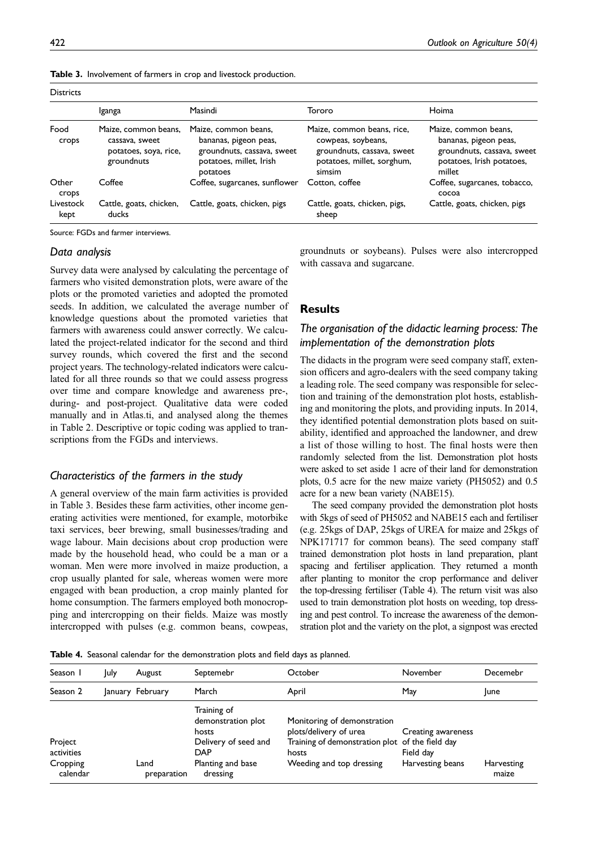|  |  |  |  | Table 3. Involvement of farmers in crop and livestock production. |  |
|--|--|--|--|-------------------------------------------------------------------|--|
|--|--|--|--|-------------------------------------------------------------------|--|

| <b>Districts</b>  |                                                                               |                                                                                                                    |                                                                                                                        |                                                                                                                    |
|-------------------|-------------------------------------------------------------------------------|--------------------------------------------------------------------------------------------------------------------|------------------------------------------------------------------------------------------------------------------------|--------------------------------------------------------------------------------------------------------------------|
|                   | Iganga                                                                        | Masindi                                                                                                            | Tororo                                                                                                                 | Hoima                                                                                                              |
| Food<br>crops     | Maize, common beans,<br>cassava, sweet<br>potatoes, soya, rice,<br>groundnuts | Maize, common beans,<br>bananas, pigeon peas,<br>groundnuts, cassava, sweet<br>potatoes, millet, Irish<br>potatoes | Maize, common beans, rice,<br>cowpeas, soybeans,<br>groundnuts, cassava, sweet<br>potatoes, millet, sorghum,<br>simsim | Maize, common beans,<br>bananas, pigeon peas,<br>groundnuts, cassava, sweet<br>potatoes, Irish potatoes,<br>millet |
| Other<br>crops    | Coffee                                                                        | Coffee, sugarcanes, sunflower                                                                                      | Cotton, coffee                                                                                                         | Coffee, sugarcanes, tobacco,<br>cocoa                                                                              |
| Livestock<br>kept | Cattle, goats, chicken,<br>ducks                                              | Cattle, goats, chicken, pigs                                                                                       | Cattle, goats, chicken, pigs,<br>sheep                                                                                 | Cattle, goats, chicken, pigs                                                                                       |

Source: FGDs and farmer interviews.

#### Data analysis

Survey data were analysed by calculating the percentage of farmers who visited demonstration plots, were aware of the plots or the promoted varieties and adopted the promoted seeds. In addition, we calculated the average number of knowledge questions about the promoted varieties that farmers with awareness could answer correctly. We calculated the project-related indicator for the second and third survey rounds, which covered the first and the second project years. The technology-related indicators were calculated for all three rounds so that we could assess progress over time and compare knowledge and awareness pre-, during- and post-project. Qualitative data were coded manually and in Atlas.ti, and analysed along the themes in Table 2. Descriptive or topic coding was applied to transcriptions from the FGDs and interviews.

## Characteristics of the farmers in the study

A general overview of the main farm activities is provided in Table 3. Besides these farm activities, other income generating activities were mentioned, for example, motorbike taxi services, beer brewing, small businesses/trading and wage labour. Main decisions about crop production were made by the household head, who could be a man or a woman. Men were more involved in maize production, a crop usually planted for sale, whereas women were more engaged with bean production, a crop mainly planted for home consumption. The farmers employed both monocropping and intercropping on their fields. Maize was mostly intercropped with pulses (e.g. common beans, cowpeas, groundnuts or soybeans). Pulses were also intercropped with cassava and sugarcane.

## **Results**

# The organisation of the didactic learning process: The implementation of the demonstration plots

The didacts in the program were seed company staff, extension officers and agro-dealers with the seed company taking a leading role. The seed company was responsible for selection and training of the demonstration plot hosts, establishing and monitoring the plots, and providing inputs. In 2014, they identified potential demonstration plots based on suitability, identified and approached the landowner, and drew a list of those willing to host. The final hosts were then randomly selected from the list. Demonstration plot hosts were asked to set aside 1 acre of their land for demonstration plots, 0.5 acre for the new maize variety (PH5052) and 0.5 acre for a new bean variety (NABE15).

The seed company provided the demonstration plot hosts with 5kgs of seed of PH5052 and NABE15 each and fertiliser (e.g. 25kgs of DAP, 25kgs of UREA for maize and 25kgs of NPK171717 for common beans). The seed company staff trained demonstration plot hosts in land preparation, plant spacing and fertiliser application. They returned a month after planting to monitor the crop performance and deliver the top-dressing fertiliser (Table 4). The return visit was also used to train demonstration plot hosts on weeding, top dressing and pest control. To increase the awareness of the demonstration plot and the variety on the plot, a signpost was erected

Table 4. Seasonal calendar for the demonstration plots and field days as planned.

| Season 1                                      | July    | August              | Septemebr                                                                                                         | October                                                                                                                                       | November                                            | Decemebr            |
|-----------------------------------------------|---------|---------------------|-------------------------------------------------------------------------------------------------------------------|-----------------------------------------------------------------------------------------------------------------------------------------------|-----------------------------------------------------|---------------------|
| Season 2                                      | lanuary | February            | March                                                                                                             | April                                                                                                                                         | May                                                 | lune                |
| Project<br>activities<br>Cropping<br>calendar |         | Land<br>preparation | Training of<br>demonstration plot<br>hosts<br>Delivery of seed and<br><b>DAP</b><br>Planting and base<br>dressing | Monitoring of demonstration<br>plots/delivery of urea<br>Training of demonstration plot of the field day<br>hosts<br>Weeding and top dressing | Creating awareness<br>Field day<br>Harvesting beans | Harvesting<br>maize |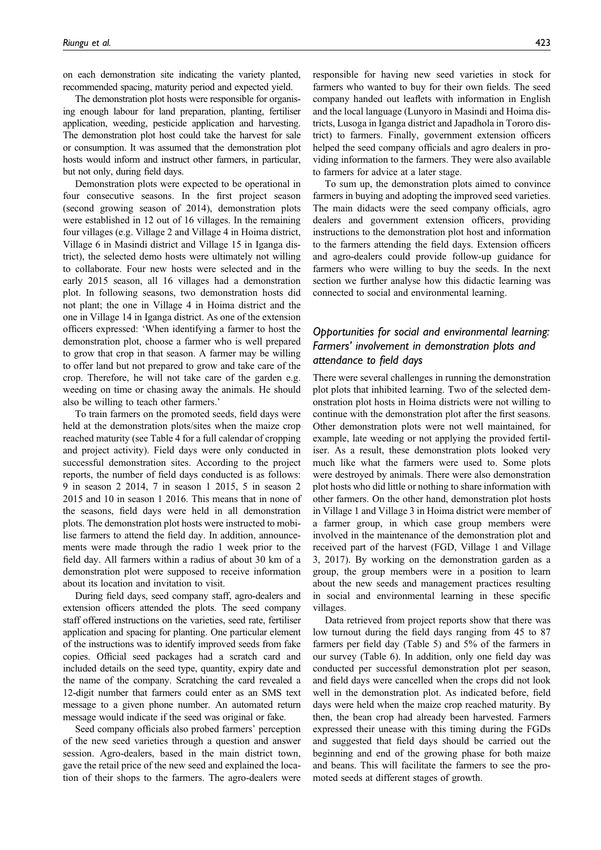on each demonstration site indicating the variety planted, recommended spacing, maturity period and expected yield.

The demonstration plot hosts were responsible for organising enough labour for land preparation, planting, fertiliser application, weeding, pesticide application and harvesting. The demonstration plot host could take the harvest for sale or consumption. It was assumed that the demonstration plot hosts would inform and instruct other farmers, in particular, but not only, during field days.

Demonstration plots were expected to be operational in four consecutive seasons. In the first project season (second growing season of 2014), demonstration plots were established in 12 out of 16 villages. In the remaining four villages (e.g. Village 2 and Village 4 in Hoima district, Village 6 in Masindi district and Village 15 in Iganga district), the selected demo hosts were ultimately not willing to collaborate. Four new hosts were selected and in the early 2015 season, all 16 villages had a demonstration plot. In following seasons, two demonstration hosts did not plant; the one in Village 4 in Hoima district and the one in Village 14 in Iganga district. As one of the extension officers expressed: 'When identifying a farmer to host the demonstration plot, choose a farmer who is well prepared to grow that crop in that season. A farmer may be willing to offer land but not prepared to grow and take care of the crop. Therefore, he will not take care of the garden e.g. weeding on time or chasing away the animals. He should also be willing to teach other farmers.'

To train farmers on the promoted seeds, field days were held at the demonstration plots/sites when the maize crop reached maturity (see Table 4 for a full calendar of cropping and project activity). Field days were only conducted in successful demonstration sites. According to the project reports, the number of field days conducted is as follows: 9 in season 2 2014, 7 in season 1 2015, 5 in season 2 2015 and 10 in season 1 2016. This means that in none of the seasons, field days were held in all demonstration plots. The demonstration plot hosts were instructed to mobilise farmers to attend the field day. In addition, announcements were made through the radio 1 week prior to the field day. All farmers within a radius of about 30 km of a demonstration plot were supposed to receive information about its location and invitation to visit.

During field days, seed company staff, agro-dealers and extension officers attended the plots. The seed company staff offered instructions on the varieties, seed rate, fertiliser application and spacing for planting. One particular element of the instructions was to identify improved seeds from fake copies. Official seed packages had a scratch card and included details on the seed type, quantity, expiry date and the name of the company. Scratching the card revealed a 12-digit number that farmers could enter as an SMS text message to a given phone number. An automated return message would indicate if the seed was original or fake.

Seed company officials also probed farmers' perception of the new seed varieties through a question and answer session. Agro-dealers, based in the main district town, gave the retail price of the new seed and explained the location of their shops to the farmers. The agro-dealers were

responsible for having new seed varieties in stock for farmers who wanted to buy for their own fields. The seed company handed out leaflets with information in English and the local language (Lunyoro in Masindi and Hoima districts, Lusoga in Iganga district and Japadhola in Tororo district) to farmers. Finally, government extension officers helped the seed company officials and agro dealers in providing information to the farmers. They were also available to farmers for advice at a later stage.

To sum up, the demonstration plots aimed to convince farmers in buying and adopting the improved seed varieties. The main didacts were the seed company officials, agro dealers and government extension officers, providing instructions to the demonstration plot host and information to the farmers attending the field days. Extension officers and agro-dealers could provide follow-up guidance for farmers who were willing to buy the seeds. In the next section we further analyse how this didactic learning was connected to social and environmental learning.

# Opportunities for social and environmental learning: Farmers' involvement in demonstration plots and attendance to field days

There were several challenges in running the demonstration plot plots that inhibited learning. Two of the selected demonstration plot hosts in Hoima districts were not willing to continue with the demonstration plot after the first seasons. Other demonstration plots were not well maintained, for example, late weeding or not applying the provided fertiliser. As a result, these demonstration plots looked very much like what the farmers were used to. Some plots were destroyed by animals. There were also demonstration plot hosts who did little or nothing to share information with other farmers. On the other hand, demonstration plot hosts in Village 1 and Village 3 in Hoima district were member of a farmer group, in which case group members were involved in the maintenance of the demonstration plot and received part of the harvest (FGD, Village 1 and Village 3, 2017). By working on the demonstration garden as a group, the group members were in a position to learn about the new seeds and management practices resulting in social and environmental learning in these specific villages.

Data retrieved from project reports show that there was low turnout during the field days ranging from 45 to 87 farmers per field day (Table 5) and 5% of the farmers in our survey (Table 6). In addition, only one field day was conducted per successful demonstration plot per season, and field days were cancelled when the crops did not look well in the demonstration plot. As indicated before, field days were held when the maize crop reached maturity. By then, the bean crop had already been harvested. Farmers expressed their unease with this timing during the FGDs and suggested that field days should be carried out the beginning and end of the growing phase for both maize and beans. This will facilitate the farmers to see the promoted seeds at different stages of growth.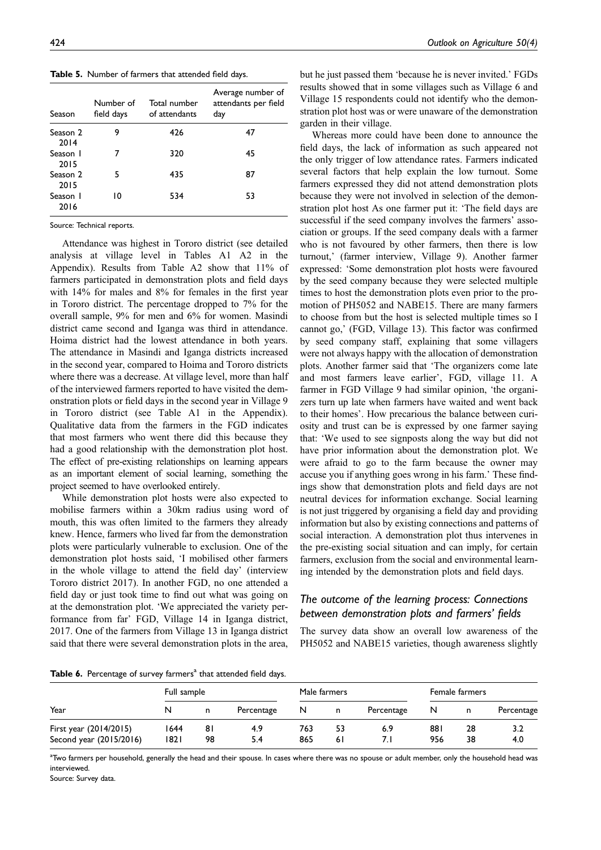Table 5. Number of farmers that attended field days.

| Season           | Number of<br>field days | Total number<br>of attendants | Average number of<br>attendants per field<br>day |
|------------------|-------------------------|-------------------------------|--------------------------------------------------|
| Season 2<br>2014 | 9                       | 426                           | 47                                               |
| Season I<br>2015 |                         | 320                           | 45                                               |
| Season 2<br>2015 | 5                       | 435                           | 87                                               |
| Season I<br>2016 | 10                      | 534                           | 53                                               |

Source: Technical reports.

Attendance was highest in Tororo district (see detailed analysis at village level in Tables A1 A2 in the Appendix). Results from Table A2 show that 11% of farmers participated in demonstration plots and field days with 14% for males and 8% for females in the first year in Tororo district. The percentage dropped to 7% for the overall sample, 9% for men and 6% for women. Masindi district came second and Iganga was third in attendance. Hoima district had the lowest attendance in both years. The attendance in Masindi and Iganga districts increased in the second year, compared to Hoima and Tororo districts where there was a decrease. At village level, more than half of the interviewed farmers reported to have visited the demonstration plots or field days in the second year in Village 9 in Tororo district (see Table A1 in the Appendix). Qualitative data from the farmers in the FGD indicates that most farmers who went there did this because they had a good relationship with the demonstration plot host. The effect of pre-existing relationships on learning appears as an important element of social learning, something the project seemed to have overlooked entirely.

While demonstration plot hosts were also expected to mobilise farmers within a 30km radius using word of mouth, this was often limited to the farmers they already knew. Hence, farmers who lived far from the demonstration plots were particularly vulnerable to exclusion. One of the demonstration plot hosts said, 'I mobilised other farmers in the whole village to attend the field day' (interview Tororo district 2017). In another FGD, no one attended a field day or just took time to find out what was going on at the demonstration plot. 'We appreciated the variety performance from far' FGD, Village 14 in Iganga district, 2017. One of the farmers from Village 13 in Iganga district said that there were several demonstration plots in the area,

but he just passed them 'because he is never invited.' FGDs results showed that in some villages such as Village 6 and Village 15 respondents could not identify who the demonstration plot host was or were unaware of the demonstration garden in their village.

Whereas more could have been done to announce the field days, the lack of information as such appeared not the only trigger of low attendance rates. Farmers indicated several factors that help explain the low turnout. Some farmers expressed they did not attend demonstration plots because they were not involved in selection of the demonstration plot host As one farmer put it: 'The field days are successful if the seed company involves the farmers' association or groups. If the seed company deals with a farmer who is not favoured by other farmers, then there is low turnout,' (farmer interview, Village 9). Another farmer expressed: 'Some demonstration plot hosts were favoured by the seed company because they were selected multiple times to host the demonstration plots even prior to the promotion of PH5052 and NABE15. There are many farmers to choose from but the host is selected multiple times so I cannot go,' (FGD, Village 13). This factor was confirmed by seed company staff, explaining that some villagers were not always happy with the allocation of demonstration plots. Another farmer said that 'The organizers come late and most farmers leave earlier', FGD, village 11. A farmer in FGD Village 9 had similar opinion, 'the organizers turn up late when farmers have waited and went back to their homes'. How precarious the balance between curiosity and trust can be is expressed by one farmer saying that: 'We used to see signposts along the way but did not have prior information about the demonstration plot. We were afraid to go to the farm because the owner may accuse you if anything goes wrong in his farm.' These findings show that demonstration plots and field days are not neutral devices for information exchange. Social learning is not just triggered by organising a field day and providing information but also by existing connections and patterns of social interaction. A demonstration plot thus intervenes in the pre-existing social situation and can imply, for certain farmers, exclusion from the social and environmental learning intended by the demonstration plots and field days.

# The outcome of the learning process: Connections between demonstration plots and farmers' fields

The survey data show an overall low awareness of the PH5052 and NABE15 varieties, though awareness slightly

Table 6. Percentage of survey farmers<sup>a</sup> that attended field days.

|                         | Full sample |    |            |     | Male farmers |            |     | Female farmers |            |  |
|-------------------------|-------------|----|------------|-----|--------------|------------|-----|----------------|------------|--|
| Year                    | N           | n  | Percentage | N   | n            | Percentage | N   |                | Percentage |  |
| First year (2014/2015)  | 1644        | 81 | 4.9        | 763 | 53           | 6.9        | 881 | 28             | 3.2        |  |
| Second year (2015/2016) | 1821        | 98 | 5.4        | 865 | 61           |            | 956 | 38             | 4.0        |  |

<sup>a</sup>Two farmers per household, generally the head and their spouse. In cases where there was no spouse or adult member, only the household head was interviewed.

Source: Survey data.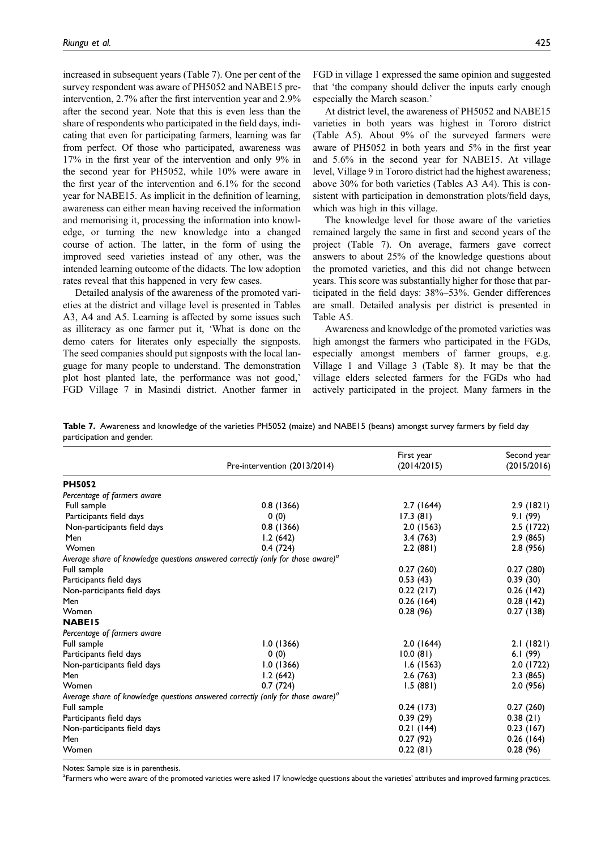increased in subsequent years (Table 7). One per cent of the survey respondent was aware of PH5052 and NABE15 preintervention, 2.7% after the first intervention year and 2.9% after the second year. Note that this is even less than the share of respondents who participated in the field days, indicating that even for participating farmers, learning was far from perfect. Of those who participated, awareness was 17% in the first year of the intervention and only 9% in the second year for PH5052, while 10% were aware in the first year of the intervention and 6.1% for the second year for NABE15. As implicit in the definition of learning, awareness can either mean having received the information and memorising it, processing the information into knowledge, or turning the new knowledge into a changed course of action. The latter, in the form of using the improved seed varieties instead of any other, was the intended learning outcome of the didacts. The low adoption rates reveal that this happened in very few cases.

Detailed analysis of the awareness of the promoted varieties at the district and village level is presented in Tables A3, A4 and A5. Learning is affected by some issues such as illiteracy as one farmer put it, 'What is done on the demo caters for literates only especially the signposts. The seed companies should put signposts with the local language for many people to understand. The demonstration plot host planted late, the performance was not good,' FGD Village 7 in Masindi district. Another farmer in

FGD in village 1 expressed the same opinion and suggested that 'the company should deliver the inputs early enough especially the March season.'

At district level, the awareness of PH5052 and NABE15 varieties in both years was highest in Tororo district (Table A5). About 9% of the surveyed farmers were aware of PH5052 in both years and 5% in the first year and 5.6% in the second year for NABE15. At village level, Village 9 in Tororo district had the highest awareness; above 30% for both varieties (Tables A3 A4). This is consistent with participation in demonstration plots/field days, which was high in this village.

The knowledge level for those aware of the varieties remained largely the same in first and second years of the project (Table 7). On average, farmers gave correct answers to about 25% of the knowledge questions about the promoted varieties, and this did not change between years. This score was substantially higher for those that participated in the field days: 38%–53%. Gender differences are small. Detailed analysis per district is presented in Table A5.

Awareness and knowledge of the promoted varieties was high amongst the farmers who participated in the FGDs, especially amongst members of farmer groups, e.g. Village 1 and Village 3 (Table 8). It may be that the village elders selected farmers for the FGDs who had actively participated in the project. Many farmers in the

Table 7. Awareness and knowledge of the varieties PH5052 (maize) and NABE15 (beans) amongst survey farmers by field day participation and gender.

|                             | Pre-intervention (2013/2014)                                                                | First year<br>(2014/2015) | Second year<br>(2015/2016) |
|-----------------------------|---------------------------------------------------------------------------------------------|---------------------------|----------------------------|
| <b>PH5052</b>               |                                                                                             |                           |                            |
| Percentage of farmers aware |                                                                                             |                           |                            |
| Full sample                 | 0.8(1366)                                                                                   | 2.7(1644)                 | 2.9(1821)                  |
| Participants field days     | 0(0)                                                                                        | 17.3(81)                  | 9.1 (99)                   |
| Non-participants field days | 0.8(1366)                                                                                   | 2.0(1563)                 | 2.5 (1722)                 |
| Men                         | 1.2(642)                                                                                    | 3.4(763)                  | 2.9(865)                   |
| Women                       | 0.4(724)                                                                                    | 2.2(881)                  | 2.8 (956)                  |
|                             | Average share of knowledge questions answered correctly (only for those aware) <sup>a</sup> |                           |                            |
| Full sample                 |                                                                                             | 0.27(260)                 | 0.27(280)                  |
| Participants field days     |                                                                                             | 0.53(43)                  | 0.39(30)                   |
| Non-participants field days |                                                                                             | 0.22(217)                 | 0.26(142)                  |
| Men                         |                                                                                             | 0.26(164)                 | 0.28(142)                  |
| Women                       |                                                                                             | 0.28(96)                  | 0.27(138)                  |
| <b>NABEI5</b>               |                                                                                             |                           |                            |
| Percentage of farmers aware |                                                                                             |                           |                            |
| Full sample                 | 1.0(1366)                                                                                   | 2.0(1644)                 | 2.1(1821)                  |
| Participants field days     | 0(0)                                                                                        | 10.0(81)                  | 6.I $(99)$                 |
| Non-participants field days | 1.0(1366)                                                                                   | 1.6(1563)                 | 2.0(1722)                  |
| Men                         | 1.2(642)                                                                                    | 2.6(763)                  | 2.3(865)                   |
| Women                       | 0.7(724)                                                                                    | 1.5(881)                  | 2.0(956)                   |
|                             | Average share of knowledge questions answered correctly (only for those aware) <sup>a</sup> |                           |                            |
| Full sample                 |                                                                                             | 0.24(173)                 | 0.27(260)                  |
| Participants field days     |                                                                                             | 0.39(29)                  | 0.38(21)                   |
| Non-participants field days |                                                                                             | 0.21(144)                 | 0.23(167)                  |
| Men                         |                                                                                             | 0.27(92)                  | 0.26(164)                  |
| Women                       |                                                                                             | 0.22(81)                  | 0.28(96)                   |

Notes: Sample size is in parenthesis.

<sup>a</sup>Farmers who were aware of the promoted varieties were asked 17 knowledge questions about the varieties' attributes and improved farming practices.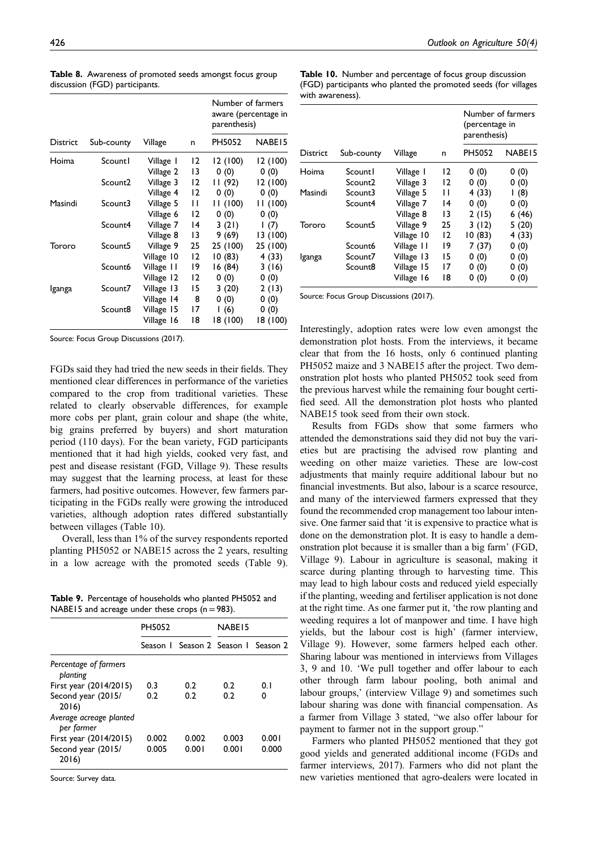|                                |  |  | Table 8. Awareness of promoted seeds amongst focus group |
|--------------------------------|--|--|----------------------------------------------------------|
| discussion (FGD) participants. |  |  |                                                          |

|                 |                     |            |    | Number of farmers<br>parenthesis) | aware (percentage in |
|-----------------|---------------------|------------|----|-----------------------------------|----------------------|
| <b>District</b> | Sub-county          | Village    | n  | PH5052                            | NABE <sub>15</sub>   |
| Hoima           | <b>Scount1</b>      | Village I  | 12 | 12 (100)                          | 12 (100)             |
|                 |                     | Village 2  | 13 | 0(0)                              | 0(0)                 |
|                 | Scount <sub>2</sub> | Village 3  | 12 | II (92)                           | 12 (100)             |
|                 |                     | Village 4  | 12 | 0(0)                              | 0(0)                 |
| Masindi         | Scount3             | Village 5  | П  | 11 (100)                          | 11 (100)             |
|                 |                     | Village 6  | 12 | 0(0)                              | 0(0)                 |
|                 | Scount4             | Village 7  | 14 | 3(21)                             | 1(7)                 |
|                 |                     | Village 8  | 13 | 9 (69)                            | 13 (100)             |
| Tororo          | Scount <sub>5</sub> | Village 9  | 25 | 25 (100)                          | 25 (100)             |
|                 |                     | Village 10 | 12 | 10(83)                            | 4 (33)               |
|                 | Scount6             | Village II | 19 | 16 (84)                           | 3(16)                |
|                 |                     | Village 12 | 12 | 0(0)                              | 0(0)                 |
| Iganga          | Scount7             | Village 13 | 15 | 3(20)                             | 2(13)                |
|                 |                     | Village 14 | 8  | 0(0)                              | 0(0)                 |
|                 | Scount8             | Village 15 | 17 | 1(6)                              | 0(0)                 |
|                 |                     | Village 16 | 18 | 18 (100)                          | 18 (100)             |

Source: Focus Group Discussions (2017).

FGDs said they had tried the new seeds in their fields. They mentioned clear differences in performance of the varieties compared to the crop from traditional varieties. These related to clearly observable differences, for example more cobs per plant, grain colour and shape (the white, big grains preferred by buyers) and short maturation period (110 days). For the bean variety, FGD participants mentioned that it had high yields, cooked very fast, and pest and disease resistant (FGD, Village 9). These results may suggest that the learning process, at least for these farmers, had positive outcomes. However, few farmers participating in the FGDs really were growing the introduced varieties, although adoption rates differed substantially between villages (Table 10).

Overall, less than 1% of the survey respondents reported planting PH5052 or NABE15 across the 2 years, resulting in a low acreage with the promoted seeds (Table 9).

Table 9. Percentage of households who planted PH5052 and NABE15 and acreage under these crops  $(n=983)$ .

|                                                       | PH5052         |                                         | NABE <sub>15</sub> |                |
|-------------------------------------------------------|----------------|-----------------------------------------|--------------------|----------------|
|                                                       |                | Season L. Season 2. Season L. Season 2. |                    |                |
| Percentage of farmers<br>blanting                     |                |                                         |                    |                |
| First year (2014/2015)                                | 0.3            | 0.2                                     | 0.2                | 01             |
| Second year (2015/<br>2016)                           | 0.2            | 0.2                                     | 0.2                | n              |
| Average acreage planted<br>per farmer                 |                |                                         |                    |                |
| First year (2014/2015)<br>Second year (2015/<br>2016) | 0.002<br>0.005 | 0.002<br>0.001                          | 0.003<br>0.001     | 0.001<br>0.000 |

Source: Survey data.

Table 10. Number and percentage of focus group discussion (FGD) participants who planted the promoted seeds (for villages with awareness).

|          |            |            |    | Number of farmers<br>(percentage in<br>parenthesis) |                    |  |
|----------|------------|------------|----|-----------------------------------------------------|--------------------|--|
| District | Sub-county | Village    | n  | PH5052                                              | NABE <sub>15</sub> |  |
| Hoima    | Scountl    | Village 1  | 12 | 0(0)                                                | 0(0)               |  |
|          | Scount2    | Village 3  | 12 | 0(0)                                                | 0(0)               |  |
| Masindi  | Scount3    | Village 5  | п  | 4(33)                                               | (8)                |  |
|          | Scount4    | Village 7  | 14 | 0(0)                                                | 0(0)               |  |
|          |            | Village 8  | 13 | 2(15)                                               | 6(46)              |  |
| Tororo   | Scount5    | Village 9  | 25 | 3(12)                                               | 5(20)              |  |
|          |            | Village 10 | 12 | 10(83)                                              | 4 (33)             |  |
|          | Scount6    | Village 11 | 19 | 7 (37)                                              | 0(0)               |  |
| Iganga   | Scount7    | Village 13 | 15 | 0(0)                                                | 0(0)               |  |
|          | Scount8    | Village 15 | 17 | 0(0)                                                | 0(0)               |  |
|          |            | Village 16 | 18 | 0(0)                                                | (0)                |  |

Source: Focus Group Discussions (2017).

Interestingly, adoption rates were low even amongst the demonstration plot hosts. From the interviews, it became clear that from the 16 hosts, only 6 continued planting PH5052 maize and 3 NABE15 after the project. Two demonstration plot hosts who planted PH5052 took seed from the previous harvest while the remaining four bought certified seed. All the demonstration plot hosts who planted NABE15 took seed from their own stock.

Results from FGDs show that some farmers who attended the demonstrations said they did not buy the varieties but are practising the advised row planting and weeding on other maize varieties. These are low-cost adjustments that mainly require additional labour but no financial investments. But also, labour is a scarce resource, and many of the interviewed farmers expressed that they found the recommended crop management too labour intensive. One farmer said that 'it is expensive to practice what is done on the demonstration plot. It is easy to handle a demonstration plot because it is smaller than a big farm' (FGD, Village 9). Labour in agriculture is seasonal, making it scarce during planting through to harvesting time. This may lead to high labour costs and reduced yield especially if the planting, weeding and fertiliser application is not done at the right time. As one farmer put it, 'the row planting and weeding requires a lot of manpower and time. I have high yields, but the labour cost is high' (farmer interview, Village 9). However, some farmers helped each other. Sharing labour was mentioned in interviews from Villages 3, 9 and 10. 'We pull together and offer labour to each other through farm labour pooling, both animal and labour groups,' (interview Village 9) and sometimes such labour sharing was done with financial compensation. As a farmer from Village 3 stated, "we also offer labour for payment to farmer not in the support group."

Farmers who planted PH5052 mentioned that they got good yields and generated additional income (FGDs and farmer interviews, 2017). Farmers who did not plant the new varieties mentioned that agro-dealers were located in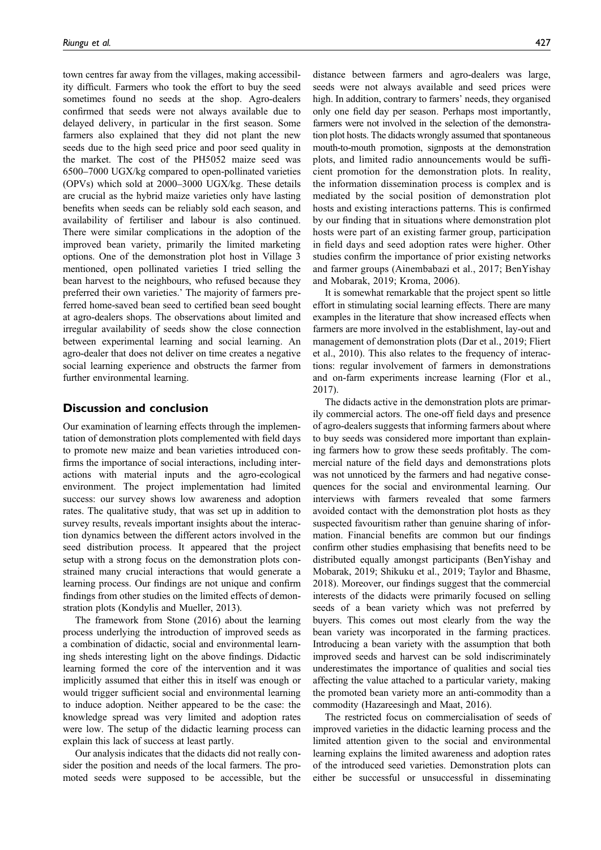town centres far away from the villages, making accessibility difficult. Farmers who took the effort to buy the seed sometimes found no seeds at the shop. Agro-dealers confirmed that seeds were not always available due to delayed delivery, in particular in the first season. Some farmers also explained that they did not plant the new seeds due to the high seed price and poor seed quality in the market. The cost of the PH5052 maize seed was 6500–7000 UGX/kg compared to open-pollinated varieties (OPVs) which sold at 2000–3000 UGX/kg. These details are crucial as the hybrid maize varieties only have lasting benefits when seeds can be reliably sold each season, and availability of fertiliser and labour is also continued. There were similar complications in the adoption of the improved bean variety, primarily the limited marketing options. One of the demonstration plot host in Village 3 mentioned, open pollinated varieties I tried selling the bean harvest to the neighbours, who refused because they preferred their own varieties.' The majority of farmers preferred home-saved bean seed to certified bean seed bought at agro-dealers shops. The observations about limited and irregular availability of seeds show the close connection between experimental learning and social learning. An agro-dealer that does not deliver on time creates a negative social learning experience and obstructs the farmer from further environmental learning.

### Discussion and conclusion

Our examination of learning effects through the implementation of demonstration plots complemented with field days to promote new maize and bean varieties introduced confirms the importance of social interactions, including interactions with material inputs and the agro-ecological environment. The project implementation had limited success: our survey shows low awareness and adoption rates. The qualitative study, that was set up in addition to survey results, reveals important insights about the interaction dynamics between the different actors involved in the seed distribution process. It appeared that the project setup with a strong focus on the demonstration plots constrained many crucial interactions that would generate a learning process. Our findings are not unique and confirm findings from other studies on the limited effects of demonstration plots (Kondylis and Mueller, 2013).

The framework from Stone (2016) about the learning process underlying the introduction of improved seeds as a combination of didactic, social and environmental learning sheds interesting light on the above findings. Didactic learning formed the core of the intervention and it was implicitly assumed that either this in itself was enough or would trigger sufficient social and environmental learning to induce adoption. Neither appeared to be the case: the knowledge spread was very limited and adoption rates were low. The setup of the didactic learning process can explain this lack of success at least partly.

Our analysis indicates that the didacts did not really consider the position and needs of the local farmers. The promoted seeds were supposed to be accessible, but the distance between farmers and agro-dealers was large, seeds were not always available and seed prices were high. In addition, contrary to farmers' needs, they organised only one field day per season. Perhaps most importantly, farmers were not involved in the selection of the demonstration plot hosts. The didacts wrongly assumed that spontaneous mouth-to-mouth promotion, signposts at the demonstration plots, and limited radio announcements would be sufficient promotion for the demonstration plots. In reality, the information dissemination process is complex and is mediated by the social position of demonstration plot hosts and existing interactions patterns. This is confirmed by our finding that in situations where demonstration plot hosts were part of an existing farmer group, participation in field days and seed adoption rates were higher. Other studies confirm the importance of prior existing networks and farmer groups (Ainembabazi et al., 2017; BenYishay and Mobarak, 2019; Kroma, 2006).

It is somewhat remarkable that the project spent so little effort in stimulating social learning effects. There are many examples in the literature that show increased effects when farmers are more involved in the establishment, lay-out and management of demonstration plots (Dar et al., 2019; Fliert et al., 2010). This also relates to the frequency of interactions: regular involvement of farmers in demonstrations and on-farm experiments increase learning (Flor et al., 2017).

The didacts active in the demonstration plots are primarily commercial actors. The one-off field days and presence of agro-dealers suggests that informing farmers about where to buy seeds was considered more important than explaining farmers how to grow these seeds profitably. The commercial nature of the field days and demonstrations plots was not unnoticed by the farmers and had negative consequences for the social and environmental learning. Our interviews with farmers revealed that some farmers avoided contact with the demonstration plot hosts as they suspected favouritism rather than genuine sharing of information. Financial benefits are common but our findings confirm other studies emphasising that benefits need to be distributed equally amongst participants (BenYishay and Mobarak, 2019; Shikuku et al., 2019; Taylor and Bhasme, 2018). Moreover, our findings suggest that the commercial interests of the didacts were primarily focused on selling seeds of a bean variety which was not preferred by buyers. This comes out most clearly from the way the bean variety was incorporated in the farming practices. Introducing a bean variety with the assumption that both improved seeds and harvest can be sold indiscriminately underestimates the importance of qualities and social ties affecting the value attached to a particular variety, making the promoted bean variety more an anti-commodity than a commodity (Hazareesingh and Maat, 2016).

The restricted focus on commercialisation of seeds of improved varieties in the didactic learning process and the limited attention given to the social and environmental learning explains the limited awareness and adoption rates of the introduced seed varieties. Demonstration plots can either be successful or unsuccessful in disseminating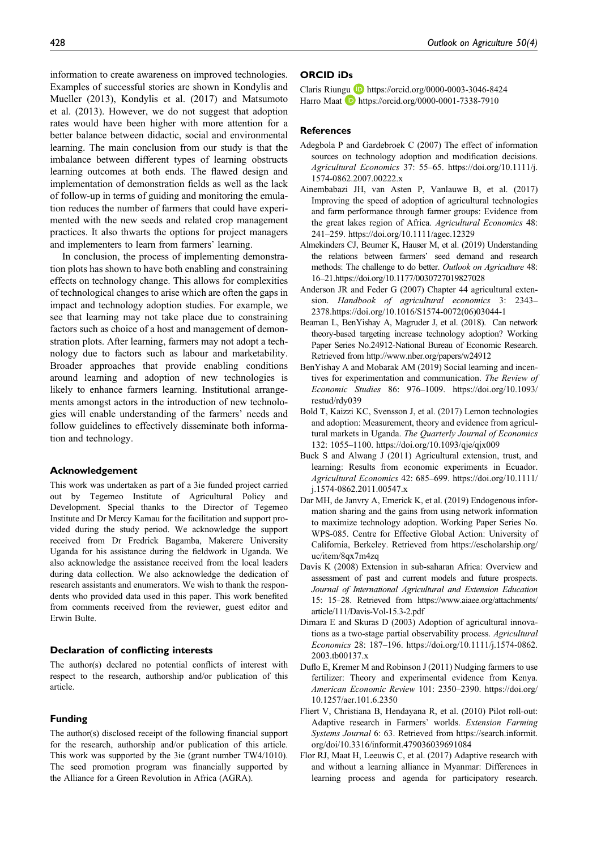information to create awareness on improved technologies. Examples of successful stories are shown in Kondylis and Mueller (2013), Kondylis et al. (2017) and Matsumoto et al. (2013). However, we do not suggest that adoption rates would have been higher with more attention for a better balance between didactic, social and environmental learning. The main conclusion from our study is that the imbalance between different types of learning obstructs learning outcomes at both ends. The flawed design and implementation of demonstration fields as well as the lack of follow-up in terms of guiding and monitoring the emulation reduces the number of farmers that could have experimented with the new seeds and related crop management practices. It also thwarts the options for project managers and implementers to learn from farmers' learning.

In conclusion, the process of implementing demonstration plots has shown to have both enabling and constraining effects on technology change. This allows for complexities of technological changes to arise which are often the gaps in impact and technology adoption studies. For example, we see that learning may not take place due to constraining factors such as choice of a host and management of demonstration plots. After learning, farmers may not adopt a technology due to factors such as labour and marketability. Broader approaches that provide enabling conditions around learning and adoption of new technologies is likely to enhance farmers learning. Institutional arrangements amongst actors in the introduction of new technologies will enable understanding of the farmers' needs and follow guidelines to effectively disseminate both information and technology.

### Acknowledgement

This work was undertaken as part of a 3ie funded project carried out by Tegemeo Institute of Agricultural Policy and Development. Special thanks to the Director of Tegemeo Institute and Dr Mercy Kamau for the facilitation and support provided during the study period. We acknowledge the support received from Dr Fredrick Bagamba, Makerere University Uganda for his assistance during the fieldwork in Uganda. We also acknowledge the assistance received from the local leaders during data collection. We also acknowledge the dedication of research assistants and enumerators. We wish to thank the respondents who provided data used in this paper. This work benefited from comments received from the reviewer, guest editor and Erwin Bulte.

#### Declaration of conflicting interests

The author(s) declared no potential conflicts of interest with respect to the research, authorship and/or publication of this article.

#### Funding

The author(s) disclosed receipt of the following financial support for the research, authorship and/or publication of this article. This work was supported by the 3ie (grant number TW4/1010). The seed promotion program was financially supported by the Alliance for a Green Revolution in Africa (AGRA).

### ORCID iDs

Claris Riungu **D** <https://orcid.org/0000-0003-3046-8424> Harro Maat D <https://orcid.org/0000-0001-7338-7910>

### **References**

- Adegbola P and Gardebroek C (2007) The effect of information sources on technology adoption and modification decisions. Agricultural Economics 37: 55–65. [https://doi.org/10.1111/j.](https://doi.org/10.1111/j.1574-0862.2007.00222.x) [1574-0862.2007.00222.x](https://doi.org/10.1111/j.1574-0862.2007.00222.x)
- Ainembabazi JH, van Asten P, Vanlauwe B, et al. (2017) Improving the speed of adoption of agricultural technologies and farm performance through farmer groups: Evidence from the great lakes region of Africa. Agricultural Economics 48: 241–259.<https://doi.org/10.1111/agec.12329>
- Almekinders CJ, Beumer K, Hauser M, et al. (2019) Understanding the relations between farmers' seed demand and research methods: The challenge to do better. Outlook on Agriculture 48: 16–21[.https://doi.org/10.1177/0030727019827028](https://doi.org/10.1177/0030727019827028)
- Anderson JR and Feder G (2007) Chapter 44 agricultural extension. Handbook of agricultural economics 3: 2343– 2378.[https://doi.org/10.1016/S1574-0072\(06\)03044-1](https://doi.org/10.1016/S1574-0072(06)03044-1)
- Beaman L, BenYishay A, Magruder J, et al. (2018). Can network theory-based targeting increase technology adoption? Working Paper Series No.24912-National Bureau of Economic Research. Retrieved from<http://www.nber.org/papers/w24912>
- BenYishay A and Mobarak AM (2019) Social learning and incentives for experimentation and communication. The Review of Economic Studies 86: 976–1009. [https://doi.org/10.1093/](https://doi.org/10.1093/restud/rdy039) [restud/rdy039](https://doi.org/10.1093/restud/rdy039)
- Bold T, Kaizzi KC, Svensson J, et al. (2017) Lemon technologies and adoption: Measurement, theory and evidence from agricultural markets in Uganda. The Quarterly Journal of Economics 132: 1055–1100.<https://doi.org/10.1093/qje/qjx009>
- Buck S and Alwang J (2011) Agricultural extension, trust, and learning: Results from economic experiments in Ecuador. Agricultural Economics 42: 685–699. [https://doi.org/10.1111/](https://doi.org/10.1111/j.1574-0862.2011.00547.x) [j.1574-0862.2011.00547.x](https://doi.org/10.1111/j.1574-0862.2011.00547.x)
- Dar MH, de Janvry A, Emerick K, et al. (2019) Endogenous information sharing and the gains from using network information to maximize technology adoption. Working Paper Series No. WPS-085. Centre for Effective Global Action: University of California, Berkeley. Retrieved from [https://escholarship.org/](https://escholarship.org/uc/item/8qx7m4zq) [uc/item/8qx7m4zq](https://escholarship.org/uc/item/8qx7m4zq)
- Davis K (2008) Extension in sub-saharan Africa: Overview and assessment of past and current models and future prospects. Journal of International Agricultural and Extension Education 15: 15–28. Retrieved from [https://www.aiaee.org/attachments/](https://www.aiaee.org/attachments/article/111/Davis-Vol-15.3-2.pdf) [article/111/Davis-Vol-15.3-2.pdf](https://www.aiaee.org/attachments/article/111/Davis-Vol-15.3-2.pdf)
- Dimara E and Skuras D (2003) Adoption of agricultural innovations as a two-stage partial observability process. Agricultural Economics 28: 187–196. [https://doi.org/10.1111/j.1574-0862.](https://doi.org/10.1111/j.1574-0862.2003.tb00137.x) [2003.tb00137.x](https://doi.org/10.1111/j.1574-0862.2003.tb00137.x)
- Duflo E, Kremer M and Robinson J (2011) Nudging farmers to use fertilizer: Theory and experimental evidence from Kenya. American Economic Review 101: 2350–2390. [https://doi.org/](https://doi.org/10.1257/aer.101.6.2350) [10.1257/aer.101.6.2350](https://doi.org/10.1257/aer.101.6.2350)
- Fliert V, Christiana B, Hendayana R, et al. (2010) Pilot roll-out: Adaptive research in Farmers' worlds. Extension Farming Systems Journal 6: 63. Retrieved from [https://search.informit.](https://search.informit.org/doi/10.3316/informit.479036039691084) [org/doi/10.3316/informit.479036039691084](https://search.informit.org/doi/10.3316/informit.479036039691084)
- Flor RJ, Maat H, Leeuwis C, et al. (2017) Adaptive research with and without a learning alliance in Myanmar: Differences in learning process and agenda for participatory research.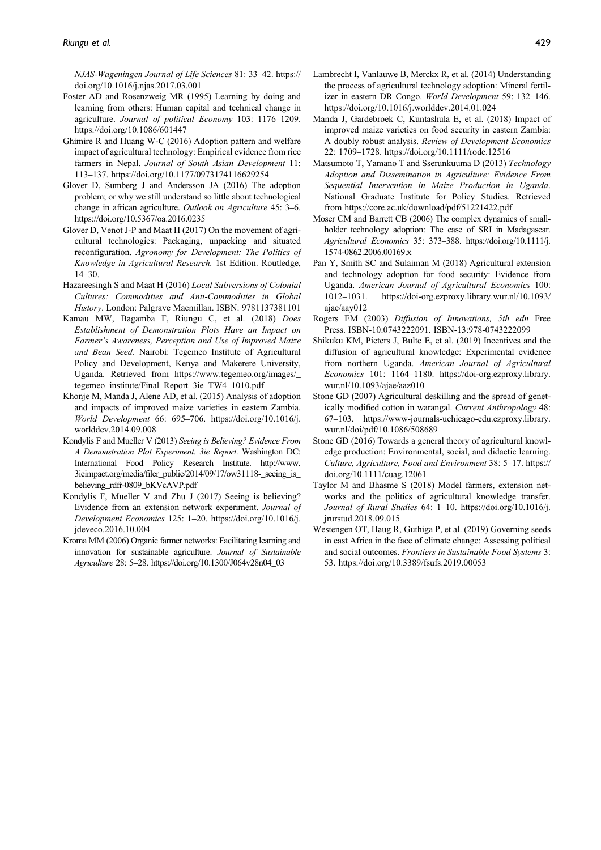NJAS-Wageningen Journal of Life Sciences 81: 33–42. [https://](https://doi.org/10.1016/j.njas.2017.03.001) [doi.org/10.1016/j.njas.2017.03.001](https://doi.org/10.1016/j.njas.2017.03.001)

- Foster AD and Rosenzweig MR (1995) Learning by doing and learning from others: Human capital and technical change in agriculture. Journal of political Economy 103: 1176–1209. <https://doi.org/10.1086/601447>
- Ghimire R and Huang W-C (2016) Adoption pattern and welfare impact of agricultural technology: Empirical evidence from rice farmers in Nepal. Journal of South Asian Development 11: 113–137.<https://doi.org/10.1177/0973174116629254>
- Glover D, Sumberg J and Andersson JA (2016) The adoption problem; or why we still understand so little about technological change in african agriculture. Outlook on Agriculture 45: 3–6. <https://doi.org/10.5367/oa.2016.0235>
- Glover D, Venot J-P and Maat H (2017) On the movement of agricultural technologies: Packaging, unpacking and situated reconfiguration. Agronomy for Development: The Politics of Knowledge in Agricultural Research. 1st Edition. Routledge, 14–30.
- Hazareesingh S and Maat H (2016) Local Subversions of Colonial Cultures: Commodities and Anti-Commodities in Global History. London: Palgrave Macmillan. ISBN: 9781137381101
- Kamau MW, Bagamba F, Riungu C, et al. (2018) Does Establishment of Demonstration Plots Have an Impact on Farmer's Awareness, Perception and Use of Improved Maize and Bean Seed. Nairobi: Tegemeo Institute of Agricultural Policy and Development, Kenya and Makerere University, Uganda. Retrieved from [https://www.tegemeo.org/images/\\_](https://www.tegemeo.org/images/_tegemeo_institute/Final_Report_3ie_TW4_1010.pdf) [tegemeo\\_institute/Final\\_Report\\_3ie\\_TW4\\_1010.pdf](https://www.tegemeo.org/images/_tegemeo_institute/Final_Report_3ie_TW4_1010.pdf)
- Khonje M, Manda J, Alene AD, et al. (2015) Analysis of adoption and impacts of improved maize varieties in eastern Zambia. World Development 66: 695–706. [https://doi.org/10.1016/j.](https://doi.org/10.1016/j.worlddev.2014.09.008) [worlddev.2014.09.008](https://doi.org/10.1016/j.worlddev.2014.09.008)
- Kondylis F and Mueller V (2013) Seeing is Believing? Evidence From A Demonstration Plot Experiment. 3ie Report. Washington DC: International Food Policy Research Institute. [http://www.](http://www.3ieimpact.org/media/filer_public/2014/09/17/ow31118-_seeing_is_believing_rdfr-0809_bKVcAVP.pdf) 3ieimpact.org/media/fi[ler\\_public/2014/09/17/ow31118-\\_seeing\\_is\\_](http://www.3ieimpact.org/media/filer_public/2014/09/17/ow31118-_seeing_is_believing_rdfr-0809_bKVcAVP.pdf) [believing\\_rdfr-0809\\_bKVcAVP.pdf](http://www.3ieimpact.org/media/filer_public/2014/09/17/ow31118-_seeing_is_believing_rdfr-0809_bKVcAVP.pdf)
- Kondylis F, Mueller V and Zhu J (2017) Seeing is believing? Evidence from an extension network experiment. Journal of Development Economics 125: 1–20. [https://doi.org/10.1016/j.](https://doi.org/10.1016/j.jdeveco.2016.10.004) [jdeveco.2016.10.004](https://doi.org/10.1016/j.jdeveco.2016.10.004)
- Kroma MM (2006) Organic farmer networks: Facilitating learning and innovation for sustainable agriculture. Journal of Sustainable Agriculture 28: 5–28. [https://doi.org/10.1300/J064v28n04\\_03](https://doi.org/10.1300/J064v28n04_03)
- Lambrecht I, Vanlauwe B, Merckx R, et al. (2014) Understanding the process of agricultural technology adoption: Mineral fertilizer in eastern DR Congo. World Development 59: 132–146. <https://doi.org/10.1016/j.worlddev.2014.01.024>
- Manda J, Gardebroek C, Kuntashula E, et al. (2018) Impact of improved maize varieties on food security in eastern Zambia: A doubly robust analysis. Review of Development Economics 22: 1709–1728.<https://doi.org/10.1111/rode.12516>
- Matsumoto T, Yamano T and Sserunkuuma D (2013) Technology Adoption and Dissemination in Agriculture: Evidence From Sequential Intervention in Maize Production in Uganda. National Graduate Institute for Policy Studies. Retrieved from<https://core.ac.uk/download/pdf/51221422.pdf>
- Moser CM and Barrett CB (2006) The complex dynamics of smallholder technology adoption: The case of SRI in Madagascar. Agricultural Economics 35: 373–388. [https://doi.org/10.1111/j.](https://doi.org/10.1111/j.1574-0862.2006.00169.x) [1574-0862.2006.00169.x](https://doi.org/10.1111/j.1574-0862.2006.00169.x)
- Pan Y, Smith SC and Sulaiman M (2018) Agricultural extension and technology adoption for food security: Evidence from Uganda. American Journal of Agricultural Economics 100: 1012–1031. [https://doi-org.ezproxy.library.wur.nl/10.1093/](https://doi-org.ezproxy.library.wur.nl/10.1093/ajae/aay012) [ajae/aay012](https://doi-org.ezproxy.library.wur.nl/10.1093/ajae/aay012)
- Rogers EM (2003) Diffusion of Innovations, 5th edn Free Press. ISBN-10:0743222091. ISBN-13:978-0743222099
- Shikuku KM, Pieters J, Bulte E, et al. (2019) Incentives and the diffusion of agricultural knowledge: Experimental evidence from northern Uganda. American Journal of Agricultural Economics 101: 1164–1180. [https://doi-org.ezproxy.library.](https://doi-org.ezproxy.library.wur.nl/10.1093/ajae/aaz010) [wur.nl/10.1093/ajae/aaz010](https://doi-org.ezproxy.library.wur.nl/10.1093/ajae/aaz010)
- Stone GD (2007) Agricultural deskilling and the spread of genetically modified cotton in warangal. Current Anthropology 48: 67–103. [https://www-journals-uchicago-edu.ezproxy.library.](https://www-journals-uchicago-edu.ezproxy.library.wur.nl/doi/pdf/10.1086/508689) [wur.nl/doi/pdf/10.1086/508689](https://www-journals-uchicago-edu.ezproxy.library.wur.nl/doi/pdf/10.1086/508689)
- Stone GD (2016) Towards a general theory of agricultural knowledge production: Environmental, social, and didactic learning. Culture, Agriculture, Food and Environment 38: 5–17. [https://](https://doi.org/10.1111/cuag.12061) [doi.org/10.1111/cuag.12061](https://doi.org/10.1111/cuag.12061)
- Taylor M and Bhasme S (2018) Model farmers, extension networks and the politics of agricultural knowledge transfer. Journal of Rural Studies 64: 1–10. [https://doi.org/10.1016/j.](https://doi.org/10.1016/j.jrurstud.2018.09.015) [jrurstud.2018.09.015](https://doi.org/10.1016/j.jrurstud.2018.09.015)
- Westengen OT, Haug R, Guthiga P, et al. (2019) Governing seeds in east Africa in the face of climate change: Assessing political and social outcomes. Frontiers in Sustainable Food Systems 3: 53.<https://doi.org/10.3389/fsufs.2019.00053>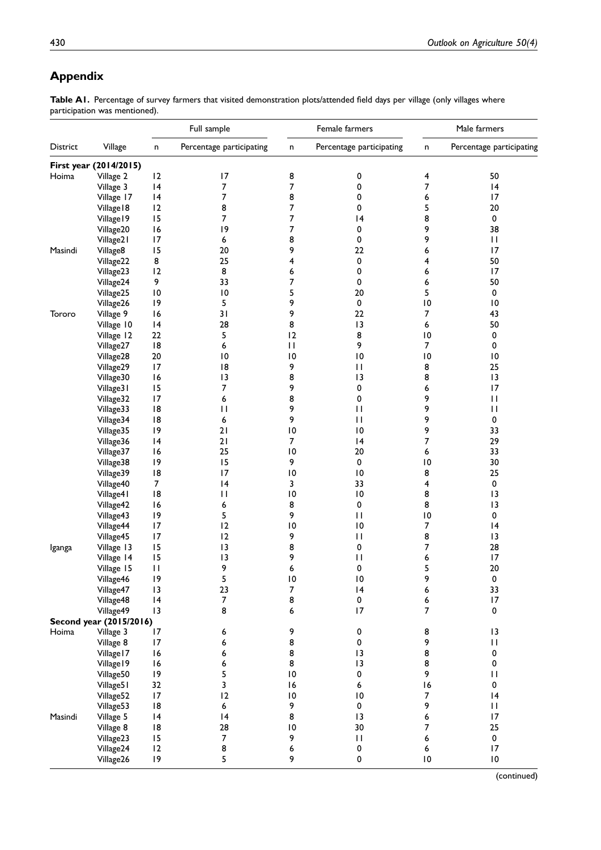# Appendix

Table A1. Percentage of survey farmers that visited demonstration plots/attended field days per village (only villages where participation was mentioned).

|          |                         |                 | Full sample              |                 | Female farmers           |                  | Male farmers             |
|----------|-------------------------|-----------------|--------------------------|-----------------|--------------------------|------------------|--------------------------|
| District | Village                 | n               | Percentage participating | n               | Percentage participating | n                | Percentage participating |
|          | First year (2014/2015)  |                 |                          |                 |                          |                  |                          |
| Hoima    | Village 2               | 12              | 17                       | 8               | $\pmb{0}$                | 4                | 50                       |
|          | Village 3               | 4               | 7                        | 7               | 0                        | 7                | 4                        |
|          | Village 17              | 4               | 7                        | 8               | 0                        | 6                | 17                       |
|          | Village 18              | 12              | 8                        | 7               | 0                        | 5                | 20                       |
|          | Village 19              | 15              | 7                        | 7               | 4                        | 8                | 0                        |
|          | Village20               | 16              | 9                        | 7               | 0                        | 9                | 38                       |
|          | Village21               | 17              | 6                        | 8               | $\pmb{0}$                | 9                | $\mathbf{H}$             |
| Masindi  | Village8                | 15              | 20                       | 9               | 22                       | 6                | 17                       |
|          | Village22               | 8               | 25                       | 4               | $\pmb{0}$                | 4                | 50                       |
|          | Village23               | 12              | 8                        | 6               | 0                        | 6                | 17                       |
|          | Village24               | 9               | 33                       | 7               | 0                        | 6                | 50                       |
|          | Village25               | $\overline{10}$ | $\overline{10}$          | 5               | 20                       | 5                | 0                        |
|          | Village26               | 9               | 5                        | 9               | $\pmb{0}$                | $\overline{10}$  | $\overline{10}$          |
| Tororo   | Village 9               | 16              | 31                       | 9               | 22                       | $\overline{7}$   | 43                       |
|          | Village 10              | 4               | 28                       | 8               | 13                       | 6                | 50                       |
|          | Village 12              | 22              | 5                        | 12              | 8                        | $\overline{10}$  | 0                        |
|          |                         | 8               | 6                        | $\mathbf{H}$    | 9                        | $\overline{7}$   | 0                        |
|          | Village27               | 20              |                          |                 |                          | $\overline{10}$  |                          |
|          | Village28               |                 | $\overline{10}$          | $\overline{10}$ | $\overline{10}$          |                  | $\overline{10}$          |
|          | Village29               | 17              | 18                       | 9               | $\mathbf{H}$             | 8                | 25                       |
|          | Village30               | 16              | 13                       | 8               | 13                       | 8                | $\overline{13}$          |
|          | Village31               | 15              | 7                        | 9               | $\pmb{0}$                | 6                | 17                       |
|          | Village32               | 17              | 6                        | 8               | 0                        | 9                | П                        |
|          | Village33               | 8               | П                        | 9               | $\mathbf{H}$             | 9                | $\mathbf{H}$             |
|          | Village34               | 18              | 6                        | 9               | $\mathbf{H}$             | 9                | 0                        |
|          | Village35               | 9               | 21                       | $\overline{10}$ | $\overline{10}$          | 9                | 33                       |
|          | Village36               | 4               | 21                       | $\overline{7}$  | 4                        | 7                | 29                       |
|          | Village37               | 16              | 25                       | $\overline{10}$ | 20                       | 6                | 33                       |
|          | Village38               | 9               | 15                       | 9               | 0                        | $\overline{10}$  | 30                       |
|          | Village39               | 8               | 17                       | $\overline{10}$ | $\overline{10}$          | 8                | 25                       |
|          | Village40               | $\overline{7}$  | 4                        | 3               | 33                       | 4                | $\pmb{0}$                |
|          | Village41               | 18              | П                        | $\overline{10}$ | $\overline{10}$          | 8                | 13                       |
|          | Village42               | 16              | 6                        | 8               | 0                        | 8                | 13                       |
|          | Village43               | 9               | 5                        | 9               | $\mathbf{H}$             | $\overline{10}$  | 0                        |
|          | Village44               | 17              | 12                       | $\overline{10}$ | $\overline{10}$          | $\overline{7}$   | 4                        |
|          | Village45               | 17              | 12                       | 9               | $\mathbf{H}$             | 8                | 13                       |
| Iganga   | Village 13              | 15              | 13                       | 8               | 0                        | 7                | 28                       |
|          | Village 14              | 15              | 13                       | 9               | $\mathbf{H}$             | 6                | 17                       |
|          | Village 15              | $\mathbf{H}$    | 9                        | 6               | 0                        | с<br>د           | $20\,$                   |
|          | Village46               | 9               | 5                        | $\overline{10}$ | $\overline{10}$          | 9                | 0                        |
|          | Village47               | 13              | 23                       | $\overline{7}$  | 4                        | 6                | 33                       |
|          | Village48               | 4               | $\overline{7}$           | 8               | $\pmb{0}$                | 6                | 17                       |
|          | Village49               | 13              | 8                        | 6               | 17                       | $\overline{7}$   | 0                        |
|          | Second year (2015/2016) |                 |                          |                 |                          |                  |                          |
| Hoima    | Village 3               | 17              | 6                        | 9               | 0                        | 8                | 13                       |
|          | Village 8               | 17              | 6                        | 8               | $\pmb{0}$                | 9                | $\mathbf{H}$             |
|          | Village   7             | 16              | 6                        | 8               | 13                       | 8                | 0                        |
|          | Village 19              | 16              | 6                        | 8               | 13                       | 8                | 0                        |
|          |                         | 9               | 5                        | $\overline{10}$ | 0                        | 9                | $\mathbf{I}$             |
|          | Village50<br>Village51  | 32              | 3                        | 16              | 6                        | 16               | 0                        |
|          |                         |                 | 12                       | $\overline{10}$ | $\overline{10}$          | $\boldsymbol{7}$ |                          |
|          | Village52               | 17              |                          |                 |                          |                  | 4                        |
|          | Village53               | 8               | 6                        | 9               | $\pmb{0}$                | 9                | $\mathbf{H}$             |
| Masindi  | Village 5               | 4               | 4                        | 8               | 13                       | 6                | 17                       |
|          | Village 8               | 8               | 28                       | $\overline{10}$ | 30                       | 7                | 25                       |
|          | Village23               | 15              | 7                        | 9               | $\mathbf{H}$             | 6                | 0                        |
|          | Village24               | 12              | 8                        | 6               | 0                        | 6                | 17                       |
|          | Village26               | 9               | 5                        | 9               | 0                        | $\overline{10}$  | $\overline{10}$          |

(continued)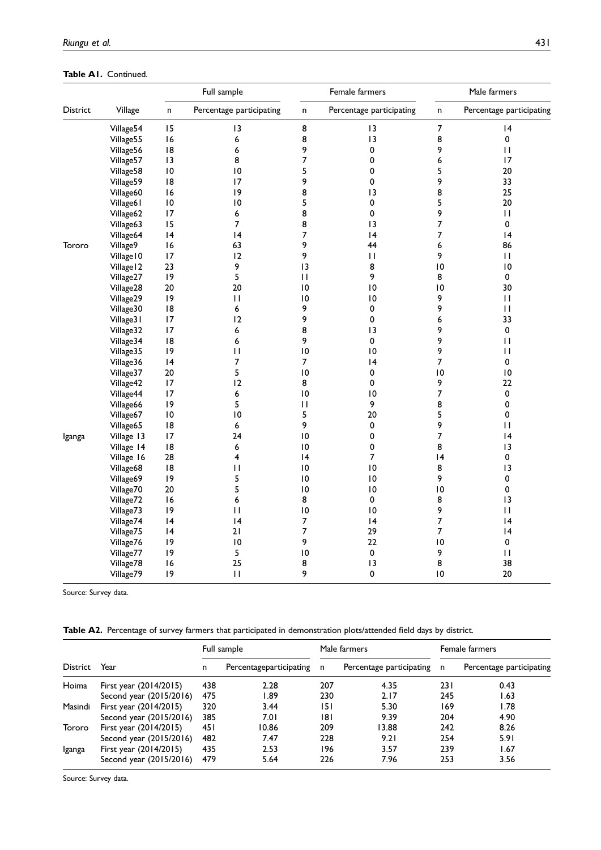Table A1. Continued.

|          |            |                 | Full sample              |                 | Female farmers           | Male farmers     |                          |  |
|----------|------------|-----------------|--------------------------|-----------------|--------------------------|------------------|--------------------------|--|
| District | Village    | n               | Percentage participating | $\sf n$         | Percentage participating | $\sf n$          | Percentage participating |  |
|          | Village54  | 15              | 13                       | 8               | 13                       | $\boldsymbol{7}$ | 4                        |  |
|          | Village55  | 16              | 6                        | 8               | 13                       | 8                | 0                        |  |
|          | Village56  | 8               | 6                        | 9               | 0                        | 9                | $\mathbf{H}$             |  |
|          | Village57  | 3               | 8                        | 7               | 0                        | 6                | 17                       |  |
|          | Village58  | $\overline{10}$ | 10                       | 5               | 0                        | 5                | 20                       |  |
|          | Village59  | 8               | 17                       | 9               | 0                        | 9                | 33                       |  |
|          | Village60  | 16              | 9                        | 8               | 13                       | 8                | 25                       |  |
|          | Village61  | $\overline{10}$ | $\overline{10}$          | 5               | $\pmb{0}$                | 5                | 20                       |  |
|          | Village62  | 17              | 6                        | 8               | $\pmb{0}$                | 9                | $\mathbf{H}$             |  |
|          | Village63  | 15              | $\overline{7}$           | 8               | $\overline{13}$          | 7                | 0                        |  |
|          | Village64  | 4               | 4                        | 7               | 4                        | 7                | 4                        |  |
| Tororo   | Village9   | 16              | 63                       | 9               | 44                       | 6                | 86                       |  |
|          | Village IO | 17              | 12                       | 9               | $\mathbf{H}$             | 9                | $\mathbf{H}$             |  |
|          | Village 12 | 23              | 9                        | 13              | 8                        | $\overline{10}$  | $\overline{10}$          |  |
|          | Village27  | 9               | 5                        | П               | 9                        | 8                | 0                        |  |
|          | Village28  | 20              | 20                       | 10              | 10                       | $\overline{10}$  | 30                       |  |
|          | Village29  | 9               | $\mathbf{H}$             | $\overline{0}$  | 10                       | 9                | $\mathbf{H}$             |  |
|          | Village30  | 8               | 6                        | 9               | 0                        | 9                | $\mathbf{H}$             |  |
|          | Village31  | 17              | 12                       | 9               | 0                        | 6                | 33                       |  |
|          | Village32  | 17              | 6                        | 8               | 13                       | 9                | 0                        |  |
|          | Village34  | 18              | 6                        | 9               | $\pmb{0}$                | 9                | $\mathbf{I}$             |  |
|          | Village35  | 9               | П                        | $\overline{0}$  | $\overline{0}$           | 9                | $\mathbf{H}$             |  |
|          | Village36  | 4               | 7                        | 7               | 4                        | 7                | 0                        |  |
|          | Village37  | 20              | 5                        | 10              | 0                        | $\overline{10}$  | $\overline{10}$          |  |
|          | Village42  | 17              | 12                       | 8               | 0                        | 9                | 22                       |  |
|          | Village44  | 17              | 6                        | $\overline{10}$ | $\overline{10}$          | 7                | 0                        |  |
|          | Village66  | 19              | 5                        | $\mathsf{L}$    | 9                        | 8                | 0                        |  |
|          | Village67  | 10              | 10                       | 5               | 20                       | 5                | 0                        |  |
|          | Village65  | 8               | 6                        | 9               | 0                        | 9                | $\mathbf{I}$             |  |
| Iganga   | Village 13 | 17              | 24                       | $\overline{10}$ | 0                        | 7                | 4                        |  |
|          | Village 14 | 8               | 6                        | 10              | 0                        | 8                | 13                       |  |
|          | Village 16 | 28              | $\overline{\mathbf{4}}$  | 4               | 7                        | 14               | 0                        |  |
|          | Village68  | 8               | П                        | 10              | 10                       | 8                | 3                        |  |
|          | Village69  | 9               | 5                        | $\overline{0}$  | 10                       | 9                | 0                        |  |
|          | Village70  | 20              | 5                        | $\overline{10}$ | 10                       | 10               | 0                        |  |
|          | Village72  | 16              | 6                        | 8               | 0                        | 8                | 3                        |  |
|          | Village73  | 9               | $\mathbf{H}$             | $\overline{10}$ | $\overline{10}$          | 9                | П                        |  |
|          | Village74  | 4               | 4                        | 7               | 4                        | 7                | 4                        |  |
|          | Village75  | 4               | 21                       | 7               | 29                       | 7                | $\overline{14}$          |  |
|          | Village76  | 9               | $\overline{10}$          | 9               | 22                       | $\overline{10}$  | 0                        |  |
|          | Village77  | 9               | 5                        | 10              | 0                        | 9                | $\mathbf{H}$             |  |
|          | Village78  | 16              | 25                       | 8               | 13                       | 8                | 38                       |  |
|          | Village79  | 9               | $\mathbf{H}$             | 9               | 0                        | 10               | 20                       |  |

Source: Survey data.

Table A2. Percentage of survey farmers that participated in demonstration plots/attended field days by district.

|          |                          |      | Full sample             |     | Male farmers             |     | Female farmers           |
|----------|--------------------------|------|-------------------------|-----|--------------------------|-----|--------------------------|
| District | Year                     | n    | Percentageparticipating | n,  | Percentage participating | n   | Percentage participating |
| Hoima    | First year $(2014/2015)$ | 438  | 2.28                    | 207 | 4.35                     | 231 | 0.43                     |
|          | Second year (2015/2016)  | 475  | I.89                    | 230 | 2.17                     | 245 | 1.63                     |
| Masindi  | First year (2014/2015)   | 320  | 3.44                    | 151 | 5.30                     | 169 | 1.78                     |
|          | Second year (2015/2016)  | 385  | 7.01                    | 181 | 9.39                     | 204 | 4.90                     |
| Tororo   | First year (2014/2015)   | 45 I | 10.86                   | 209 | 13.88                    | 242 | 8.26                     |
|          | Second year (2015/2016)  | 482  | 7.47                    | 228 | 9.21                     | 254 | 5.91                     |
| Iganga   | First year (2014/2015)   | 435  | 2.53                    | 196 | 3.57                     | 239 | 1.67                     |
|          | Second year (2015/2016)  | 479  | 5.64                    | 226 | 7.96                     | 253 | 3.56                     |

Source: Survey data.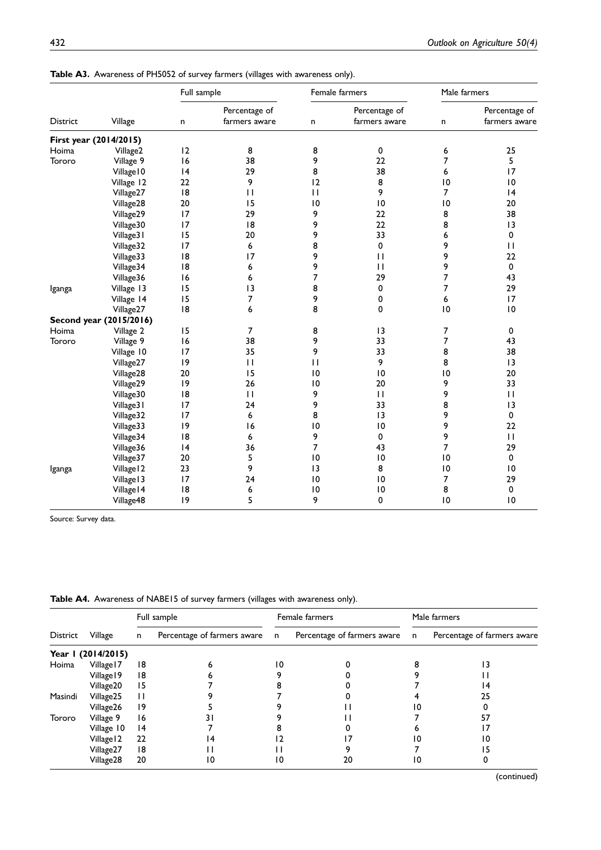Table A3. Awareness of PH5052 of survey farmers (villages with awareness only).

|          |                         | Full sample |                                |                 | Female farmers                 | Male farmers    |                                |
|----------|-------------------------|-------------|--------------------------------|-----------------|--------------------------------|-----------------|--------------------------------|
| District | Village                 | n           | Percentage of<br>farmers aware | n               | Percentage of<br>farmers aware | n               | Percentage of<br>farmers aware |
|          | First year (2014/2015)  |             |                                |                 |                                |                 |                                |
| Hoima    | Village2                | 12          | 8                              | 8               | 0                              | 6               | 25                             |
| Tororo   | Village 9               | 16          | 38                             | 9               | 22                             | 7               | 5                              |
|          | Village IO              | 4           | 29                             | 8               | 38                             | 6               | 17                             |
|          | Village 12              | 22          | 9                              | 12              | 8                              | $\overline{10}$ | 10                             |
|          | Village27               | 18          | $\mathbf{H}$                   | $\mathbf{H}$    | 9                              | 7               | 4                              |
|          | Village28               | 20          | 15                             | 0               | 10                             | 10              | 20                             |
|          | Village29               | 17          | 29                             | 9               | 22                             | 8               | 38                             |
|          | Village30               | 17          | 8                              | 9               | 22                             | 8               | 3                              |
|          | Village31               | 15          | 20                             | 9               | 33                             | 6               | 0                              |
|          | Village32               | 17          | 6                              | 8               | $\mathbf 0$                    | 9               | $\mathbf{H}$                   |
|          | Village33               | 18          | 17                             | 9               | $\mathbf{H}$                   | 9               | 22                             |
|          | Village34               | 18          | 6                              | 9               | $\mathbf{H}$                   | 9               | 0                              |
|          | Village36               | 16          | 6                              | 7               | 29                             | 7               | 43                             |
| Iganga   | Village 13              | 15          | 13                             | 8               | 0                              | 7               | 29                             |
|          | Village 14              | 15          | 7                              | 9               | 0                              | 6               | 17                             |
|          | Village27               | 18          | 6                              | 8               | $\mathbf 0$                    | $\overline{10}$ | $\overline{10}$                |
|          | Second year (2015/2016) |             |                                |                 |                                |                 |                                |
| Hoima    | Village 2               | 15          | 7                              | 8               | 13                             | 7               | 0                              |
| Tororo   | Village 9               | 16          | 38                             | 9               | 33                             | 7               | 43                             |
|          | Village 10              | 17          | 35                             | 9               | 33                             | 8               | 38                             |
|          | Village27               | 9           | $\mathbf{H}$                   | $\mathbf{H}$    | 9                              | 8               | 3                              |
|          | Village28               | 20          | 15                             | 10              | 10                             | $\overline{10}$ | 20                             |
|          | Village29               | 9           | 26                             | 10              | 20                             | 9               | 33                             |
|          | Village30               | 18          | $\mathbf{H}$                   | 9               | $\mathbf{H}$                   | 9               | $\mathbf{H}$                   |
|          | Village31               | 17          | 24                             | 9               | 33                             | 8               | 3                              |
|          | Village32               | 17          | 6                              | 8               | 13                             | 9               | 0                              |
|          | Village33               | 19          | 16                             | 10              | 10                             | 9               | 22                             |
|          | Village34               | 18          | 6                              | 9               | $\mathbf 0$                    | 9               | $\mathbf{H}$                   |
|          | Village36               | 4           | 36                             | 7               | 43                             | 7               | 29                             |
|          | Village37               | 20          | 5                              | 10              | $\overline{10}$                | 10              | 0                              |
| Iganga   | Village 12              | 23          | 9                              | 3               | 8                              | $\overline{0}$  | $\overline{10}$                |
|          | Village 13              | 17          | 24                             | $\overline{10}$ | 10                             | 7               | 29                             |
|          | Village   4             | 18          | 6                              | $\overline{10}$ | 10                             | 8               | 0                              |
|          | Village48               | 9           | 5                              | 9               | 0                              | 10              | 0                              |

Source: Survey data.

Table A4. Awareness of NABE15 of survey farmers (villages with awareness only).

|          |                    |              | Full sample                 |    | Female farmers              |              | Male farmers                |
|----------|--------------------|--------------|-----------------------------|----|-----------------------------|--------------|-----------------------------|
| District | Village            | $\mathsf{n}$ | Percentage of farmers aware |    | Percentage of farmers aware | $\mathsf{n}$ | Percentage of farmers aware |
|          | Year 1 (2014/2015) |              |                             |    |                             |              |                             |
| Hoima    | Village   7        | 18           |                             | 10 |                             |              |                             |
|          | Village 19         | 18           |                             |    |                             |              |                             |
|          | Village20          | 15           |                             |    |                             |              | 14                          |
| Masindi  | Village25          | Ħ            |                             |    |                             |              | 25                          |
|          | Village26          | 19           |                             |    |                             | ۱0           |                             |
| Tororo   | Village 9          | 16           |                             |    |                             |              |                             |
|          | Village 10         | 4            |                             |    |                             |              |                             |
|          | Village 12         | 22           | 14                          |    |                             | 10           |                             |
|          | Village27          | 18           |                             |    |                             |              |                             |
|          | Village28          | 20           | 10                          | 10 |                             | 10           |                             |

(continued)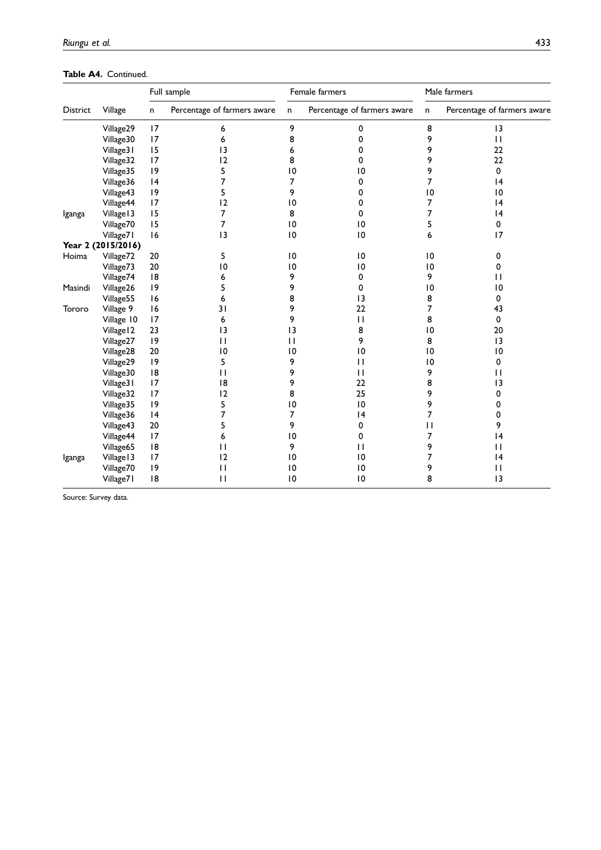Table A4. Continued.

|                 |                    |    | Full sample                 |                 | Female farmers              |                 | Male farmers                |
|-----------------|--------------------|----|-----------------------------|-----------------|-----------------------------|-----------------|-----------------------------|
| <b>District</b> | Village            | n  | Percentage of farmers aware | $\mathsf{n}$    | Percentage of farmers aware | n               | Percentage of farmers aware |
|                 | Village29          | 17 | 6                           | 9               | 0                           | 8               | 13                          |
|                 | Village30          | 17 | 6                           | 8               | 0                           | 9               | $\mathbf{H}$                |
|                 | Village31          | 15 | 3                           | 6               | 0                           | 9               | 22                          |
|                 | Village32          | 17 | 12                          | 8               | 0                           | 9               | 22                          |
|                 | Village35          | 9  | 5                           | $\overline{10}$ | $\overline{10}$             | 9               | 0                           |
|                 | Village36          | 4  | 7                           | 7               | 0                           | 7               | 4                           |
|                 | Village43          | 9  | 5                           | 9               | 0                           | $\overline{10}$ | $\overline{10}$             |
|                 | Village44          | 17 | 12                          | $\overline{10}$ | 0                           | 7               | 4                           |
| Iganga          | Village 13         | 15 | 7                           | 8               | 0                           | 7               | 4                           |
|                 | Village70          | 15 | 7                           | $\overline{10}$ | $\overline{10}$             | 5               | 0                           |
|                 | Village71          | 16 | 3                           | $\overline{10}$ | $\overline{10}$             | 6               | 17                          |
|                 | Year 2 (2015/2016) |    |                             |                 |                             |                 |                             |
| Hoima           | Village72          | 20 | 5                           | $\overline{10}$ | $\overline{10}$             | $\overline{10}$ | 0                           |
|                 | Village73          | 20 | $\overline{10}$             | $\overline{10}$ | $\overline{10}$             | $\overline{10}$ | 0                           |
|                 | Village74          | 8  | 6                           | 9               | 0                           | 9               | $\mathbf{H}$                |
| Masindi         | Village26          | 9  | 5                           | 9               | 0                           | $\overline{10}$ | 0                           |
|                 | Village55          | 16 | 6                           | 8               | 13                          | 8               | 0                           |
| Tororo          | Village 9          | 16 | 31                          | 9               | 22                          | 7               | 43                          |
|                 | Village 10         | 17 | 6                           | 9               | $\mathbf{H}$                | 8               | $\mathbf 0$                 |
|                 | Village 12         | 23 | 3                           | 3               | 8                           | $\overline{10}$ | 20                          |
|                 | Village27          | 9  | $\mathbf{H}$                | $\mathbf{H}$    | 9                           | 8               | 3                           |
|                 | Village28          | 20 | 0                           | 10              | 0                           | $\overline{0}$  | $\overline{10}$             |
|                 | Village29          | 9  | 5                           | 9               | $\mathbf{H}$                | 0               | 0                           |
|                 | Village30          | 8  | $\mathbf{H}$                | 9               | $\mathbf{H}$                | 9               | $\mathbf{H}$                |
|                 | Village31          | 17 | 8                           | 9               | 22                          | 8               | 3                           |
|                 | Village32          | 17 | 12                          | 8               | 25                          | 9               | 0                           |
|                 | Village35          | 9  | 5                           | 0               | $\overline{10}$             | 9               | 0                           |
|                 | Village36          | 4  | 7                           | 7               | 4                           | 7               | 0                           |
|                 | Village43          | 20 | 5                           | 9               | 0                           | $\mathbf{H}$    | 9                           |
|                 | Village44          | 17 | 6                           | $\overline{10}$ | 0                           | 7               | 4                           |
|                 | Village65          | 8  | $\mathbf{H}$                | 9               | $\mathbf{H}$                | 9               | $\mathbf{H}$                |
| Iganga          | Village 13         | 17 | 12                          | $\overline{10}$ | 0                           | 7               | 4                           |
|                 | Village70          | 9  | $\mathbf{H}$                | $\overline{10}$ | $\overline{10}$             | 9               | $\mathbf{H}$                |
|                 | Village71          | 8  | $\mathbf{H}$                | 10              | $\overline{10}$             | 8               | 3                           |

Source: Survey data.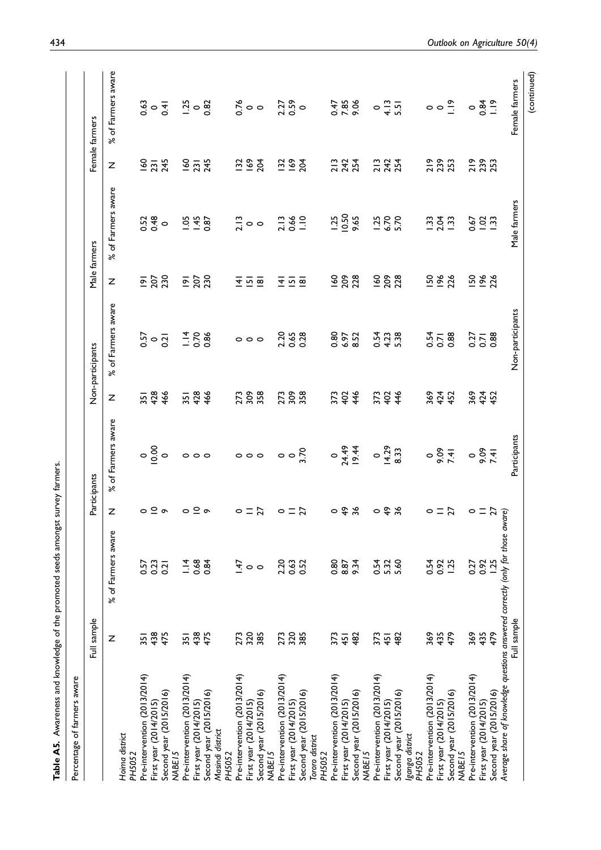| ジョック                                                              |  |
|-------------------------------------------------------------------|--|
| <b>NHOILED SPOR DAYS DIRECT</b>                                   |  |
|                                                                   |  |
|                                                                   |  |
| こころ シーン                                                           |  |
| awareness and knowledge of the promoted seeds amongst survey farm |  |
|                                                                   |  |
| <b>Ally Did Anni Bird</b>                                         |  |
|                                                                   |  |
| Table A5. A.                                                      |  |

| Percentage of farmers aware                                                |             |                    |                                     |                                             |            |                        |                                                             |                               |                             |                                                                                                                                                                                                         |
|----------------------------------------------------------------------------|-------------|--------------------|-------------------------------------|---------------------------------------------|------------|------------------------|-------------------------------------------------------------|-------------------------------|-----------------------------|---------------------------------------------------------------------------------------------------------------------------------------------------------------------------------------------------------|
|                                                                            | Full sample |                    |                                     | Participants                                |            | Non-participants       |                                                             | Male farmers                  |                             | Female farmers                                                                                                                                                                                          |
|                                                                            | Z           | % of Farmers aware | z                                   | of Farmers aware<br>৯ৎ                      | z          | of Farmers aware<br>৯ৎ | Z                                                           | of Farmers aware<br>ৼ৾        | Z                           | of Farmers aware<br>৯ৎ                                                                                                                                                                                  |
| Hoima district<br>PH5052                                                   |             |                    |                                     |                                             |            |                        |                                                             |                               |                             |                                                                                                                                                                                                         |
| Pre-intervention (2013/2014)                                               | 351         | 0.57               |                                     |                                             |            |                        |                                                             |                               |                             |                                                                                                                                                                                                         |
| First year (2014/2015)                                                     | 438         | 0.23               |                                     |                                             |            |                        |                                                             |                               |                             |                                                                                                                                                                                                         |
| Second year (2015/2016)                                                    | 475         | 0.21               | $\circ$ $\circ$ $\circ$             | $\circ \frac{8}{5}$                         | 3548       | $0.57$<br>$0.21$       | $\frac{1}{2}$ $\frac{1}{2}$ $\frac{1}{2}$                   | $0.52$<br>$0.48$              | $\frac{6}{2}$ $\frac{7}{2}$ | $3.63$<br>$0.41$                                                                                                                                                                                        |
| MABE <sub>15</sub>                                                         |             |                    |                                     |                                             |            |                        |                                                             |                               |                             |                                                                                                                                                                                                         |
| Pre-intervention (2013/2014)                                               | 35          | $\frac{4}{1}$      | $\circ$                             | $\circ \circ \circ$                         | 3748       | $1.88$<br>$-0.86$      | $\overline{2}$ $\overline{2}$ $\overline{3}$ $\overline{3}$ | $1.87$<br>$-1.87$             | $\frac{60}{2345}$           |                                                                                                                                                                                                         |
| First year (2014/2015)                                                     | 438         | 0.84               | $\subseteq$ $\circ$                 |                                             |            |                        |                                                             |                               |                             |                                                                                                                                                                                                         |
| Second year (2015/2016)<br>Masindi district<br>PH5052                      | 475         |                    |                                     |                                             |            |                        |                                                             |                               |                             | $1.36$ $8.700$                                                                                                                                                                                          |
| Pre-intervention (2013/2014)                                               | 273         | 47<br>1            | $\circ$                             |                                             |            |                        |                                                             |                               |                             |                                                                                                                                                                                                         |
| First year (2014/2015)                                                     |             |                    |                                     |                                             |            |                        |                                                             |                               |                             |                                                                                                                                                                                                         |
| Second year (2015/2016)<br>MABE <sub>15</sub>                              | 320<br>385  | $\circ$            | $=$ $\overline{a}$                  | $\circ \circ \circ \circ \circ \frac{8}{2}$ | 278.88     | $\circ \circ \circ$    | $\overline{4}$ $\overline{2}$ $\overline{2}$                | $\frac{13}{10}$ o             | $\frac{28}{28}$             |                                                                                                                                                                                                         |
| Pre-intervention (2013/2014)                                               | 273         | 2.20               |                                     |                                             |            |                        |                                                             |                               |                             |                                                                                                                                                                                                         |
| First year (2014/2015)                                                     |             | 0.63               | $\circ$ $\equiv$ $\overline{\circ}$ |                                             | 273<br>309 |                        | 포프의                                                         |                               |                             |                                                                                                                                                                                                         |
| Second year (2015/2016)                                                    | 320         | 0.52               |                                     |                                             |            | 2.35<br>0.38           |                                                             | 2.13<br>0.66<br>1.10          | $\frac{28}{28}$             | 2.27<br>0.59                                                                                                                                                                                            |
| Tororo district<br>PH5052                                                  |             |                    |                                     |                                             |            |                        |                                                             |                               |                             |                                                                                                                                                                                                         |
| Pre-intervention (2013/2014)                                               | 373         | 0.80               |                                     |                                             |            |                        |                                                             |                               |                             |                                                                                                                                                                                                         |
| First year (2014/2015)                                                     | 45          | 8.87               |                                     |                                             |            |                        |                                                             |                               |                             |                                                                                                                                                                                                         |
| Second year (2015/2016)<br>MABE <sub>15</sub>                              | 482         | 9.34               | 0.4%                                |                                             | 3734       | 0.80<br>0.61<br>0.4    | 160<br>2028                                                 | $1.25$<br>$0.50$<br>9.65      | 213<br>242<br>254           | 0.47<br>7.85<br>9.06                                                                                                                                                                                    |
| Pre-intervention (2013/2014)                                               | 373         | 0.54               |                                     |                                             |            |                        |                                                             |                               |                             |                                                                                                                                                                                                         |
| First year (2014/2015)                                                     | 45          |                    |                                     |                                             |            |                        |                                                             |                               |                             |                                                                                                                                                                                                         |
| Second year (2015/2016)                                                    | 482         | 5.32<br>5.60       | $\circ$ $\frac{\alpha}{\pi}$        |                                             | 37346      | 0.54<br>4.23<br>5.38   | <u>988</u>                                                  | $1,38,70$<br>5.70             | 213<br>254                  |                                                                                                                                                                                                         |
| ganga district<br>PH5052                                                   |             |                    |                                     |                                             |            |                        |                                                             |                               |                             | $\circ$ $\frac{3}{4}$ $\frac{5}{4}$ $\circ$ $\circ$ $\frac{8}{4}$ $\circ$ $\frac{3}{4}$ $\frac{5}{4}$ $\circ$ $\circ$ $\frac{3}{4}$ $\circ$ $\circ$ $\frac{4}{4}$ $\circ$ $\circ$ $\frac{4}{4}$ $\circ$ |
| Pre-intervention (2013/2014)                                               | 369         | 0.54               |                                     |                                             | 364<br>452 |                        |                                                             |                               |                             |                                                                                                                                                                                                         |
| First year (2014/2015)                                                     | 435         | 0.92               | $\circ$ = $\approx$                 |                                             |            | $0.58$<br>0.08         |                                                             |                               | 219<br>23<br>253            |                                                                                                                                                                                                         |
| Second year (2015/2016)<br>MABE <sub>15</sub>                              | 479         | 1.25               |                                     |                                             |            |                        | 58828                                                       | $\frac{23}{2}$ $\frac{24}{2}$ |                             |                                                                                                                                                                                                         |
| Pre-intervention (2013/2014)                                               | 369         | 0.27               |                                     |                                             | 364<br>452 |                        | 58<br>196                                                   | 629.7                         | 23<br>23<br>253             |                                                                                                                                                                                                         |
| First year (2014/2015)                                                     | 435         | 0.92<br>1.25       |                                     |                                             |            |                        |                                                             |                               |                             |                                                                                                                                                                                                         |
| Second year (2015/2016)                                                    | 479         |                    | $0 = 2\pi$ or $\frac{1}{9}$         |                                             |            |                        |                                                             |                               |                             |                                                                                                                                                                                                         |
| Average share of knowledge questions answered correctly (only for those aw |             |                    |                                     |                                             |            |                        |                                                             |                               |                             |                                                                                                                                                                                                         |
|                                                                            | Full sample |                    |                                     | Participants                                |            | Non-participants       |                                                             | Male farmers                  |                             | Female farmers                                                                                                                                                                                          |
|                                                                            |             |                    |                                     |                                             |            |                        |                                                             |                               |                             |                                                                                                                                                                                                         |

(continued)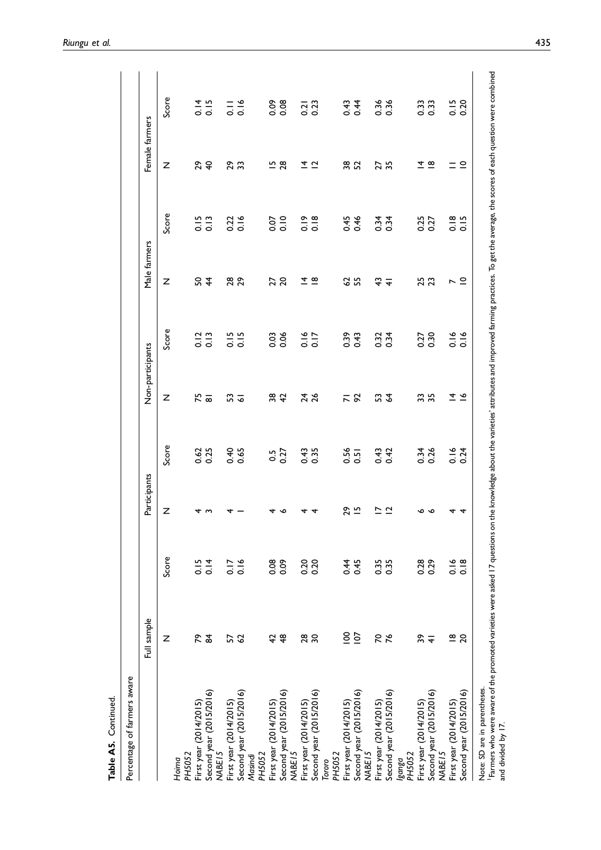|                                                                                                                                                                                                                         | Full sample      |                  | Participants             |                  | Non-participants    |       | Male farmers   |              | Female farmers                |                                     |
|-------------------------------------------------------------------------------------------------------------------------------------------------------------------------------------------------------------------------|------------------|------------------|--------------------------|------------------|---------------------|-------|----------------|--------------|-------------------------------|-------------------------------------|
|                                                                                                                                                                                                                         | Z                | Score            | Z                        | Score            | Z                   | Score | Z              | Score        | Z                             | Score                               |
| Hoima                                                                                                                                                                                                                   |                  |                  |                          |                  |                     |       |                |              |                               |                                     |
| PH5052                                                                                                                                                                                                                  |                  |                  |                          |                  |                     |       |                |              |                               |                                     |
| First year (2014/2015)                                                                                                                                                                                                  | ድ                | $0.15$<br>$0.14$ | 4                        | 0.62<br>0.25     | 75                  | 0.12  | S              | 0.15         | 29                            | 0.15                                |
| Second year (2015/2016)<br>MABE <sub>15</sub>                                                                                                                                                                           | $\frac{4}{5}$    |                  | S                        |                  | $\overline{\infty}$ | 0.13  | $\frac{4}{5}$  | 0.13         | $\overline{4}$                |                                     |
| First year (2014/2015)                                                                                                                                                                                                  | 57               | 0.16             |                          | 0.40             | 53                  | 0.15  | 28<br>29       | 0.22         | 29                            | $\frac{1}{\circ}$ $\frac{6}{\circ}$ |
| Second year (2015/2016)<br>Masindi                                                                                                                                                                                      | $\mathcal{S}$    |                  |                          |                  | ত                   | 0.15  |                |              | 33                            |                                     |
| PH5052                                                                                                                                                                                                                  |                  |                  |                          |                  |                     |       |                |              |                               |                                     |
| First year (2014/2015)                                                                                                                                                                                                  | 42               | 80.09            | 4                        | 30               | 38                  | 0.03  | 27             | 0.07         | $\frac{15}{28}$               | 80.00                               |
| Second year (2015/2016)<br>MABE <sub>15</sub>                                                                                                                                                                           | $\frac{8}{3}$    |                  | ∾                        | 0.27             | $\overline{4}$      | 0.06  | $\overline{c}$ | 0.10         |                               |                                     |
| First year (2014/2015)                                                                                                                                                                                                  | $^{28}$          |                  | 4                        | 0.43             | 24                  | 0.16  | ±              | 0.19         | ±                             | $\overline{0.2}$                    |
| Second year (2015/2016)                                                                                                                                                                                                 | $\boldsymbol{S}$ | 0.20             | 4                        | 0.35             | $\frac{26}{5}$      | 0.17  | $\overline{8}$ | 0.18         | $\bar{c}$                     | 0.23                                |
| Tororo                                                                                                                                                                                                                  |                  |                  |                          |                  |                     |       |                |              |                               |                                     |
| PH5052                                                                                                                                                                                                                  |                  |                  |                          |                  |                     |       |                |              |                               |                                     |
| First year (2014/2015)                                                                                                                                                                                                  | $\frac{8}{1}$    |                  | 29                       | 0.56             | $\overline{N}$      | 0.39  | 2              |              | 38<br>52                      | 0.43                                |
| Second year (2015/2016)                                                                                                                                                                                                 | $\overline{5}$   | 0.45             | $\overline{5}$           | $\overline{0.5}$ | 56                  | 0.43  | 55             | 0.45<br>0.46 |                               | 0.44                                |
| MABE <sub>15</sub>                                                                                                                                                                                                      |                  |                  |                          |                  |                     |       |                |              |                               |                                     |
| First year (2014/2015)                                                                                                                                                                                                  | 50               | 0.35             | $\overline{\phantom{0}}$ | 0.43             | S                   | 0.32  | ᢡ              | 0.34         | 27                            | 0.36                                |
| Second year (2015/2016)                                                                                                                                                                                                 | 76               |                  | $\overline{a}$           | 0.42             | $\mathcal{L}$       | 0.34  | $\overline{+}$ | 0.34         | 35                            | 0.36                                |
| PH5052<br>pausa                                                                                                                                                                                                         |                  |                  |                          |                  |                     |       |                |              |                               |                                     |
| First year (2014/2015)                                                                                                                                                                                                  | 39               | 0.28             | ∾                        |                  | 35                  | 0.27  | 25             | 0.27         | ±                             | 0.33                                |
| Second year (2015/2016)<br>MABE <sub>15</sub>                                                                                                                                                                           | $\overline{+}$   |                  | ç                        | 0.34             |                     | 0.30  | 23             |              | $\mathbf{\underline{\omega}}$ |                                     |
| First year (2014/2015)                                                                                                                                                                                                  |                  |                  | 4                        | 0.16             | 4                   | 0.16  | L              | 0.18         |                               | 0.15                                |
| Second year (2015/2016)                                                                                                                                                                                                 | $\frac{8}{20}$   | 0.18             | 4                        | 0.24             | $\tilde{ }$         | 0.16  | $\subseteq$    | 0.15         | $\subseteq$                   | 0.20                                |
| Note: SD are in parentheses.                                                                                                                                                                                            |                  |                  |                          |                  |                     |       |                |              |                               |                                     |
| Farmers who were aware of the promoted varieties were asked 17 questions on the knowledge about the varieties' attributes and improved farming practices. To get the average, the scores of each question were combined |                  |                  |                          |                  |                     |       |                |              |                               |                                     |
| and divided by 17.                                                                                                                                                                                                      |                  |                  |                          |                  |                     |       |                |              |                               |                                     |

Table A5. Continued.

Table A5. Continued.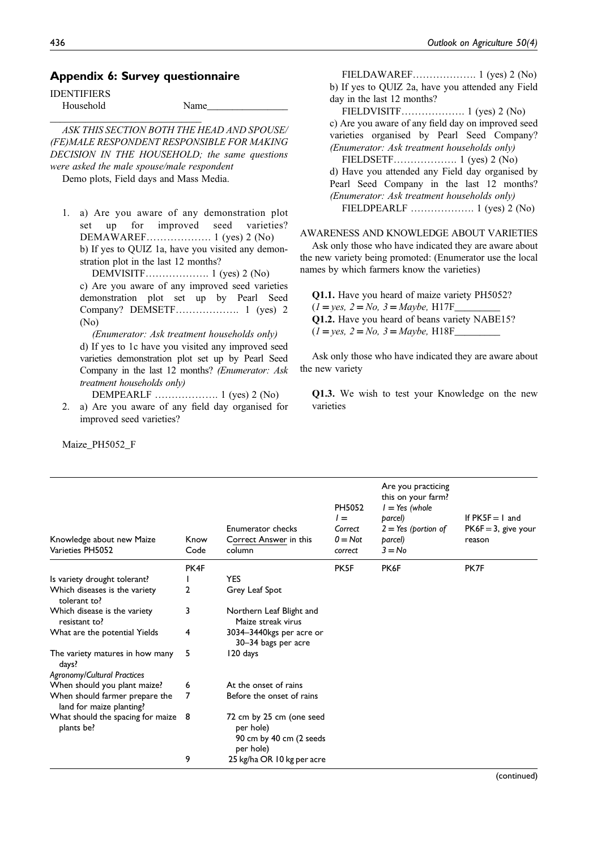# Appendix 6: Survey questionnaire

IDENTIFIERS Household Name\_\_\_\_\_\_\_\_\_\_\_\_\_\_\_\_

\_\_\_\_\_\_\_\_\_\_\_\_\_\_\_\_\_\_\_\_\_\_\_\_\_\_\_\_\_\_ ASK THIS SECTION BOTH THE HEAD AND SPOUSE/ (FE)MALE RESPONDENT RESPONSIBLE FOR MAKING DECISION IN THE HOUSEHOLD; the same questions were asked the male spouse/male respondent

Demo plots, Field days and Mass Media.

1. a) Are you aware of any demonstration plot set up for improved seed varieties? DEMAWAREF………………. 1 (yes) 2 (No) b) If yes to QUIZ 1a, have you visited any demonstration plot in the last 12 months?

DEMVISITF………………. 1 (yes) 2 (No) c) Are you aware of any improved seed varieties demonstration plot set up by Pearl Seed Company? DEMSETF………………. 1 (yes) 2 (No)

(Enumerator: Ask treatment households only) d) If yes to 1c have you visited any improved seed varieties demonstration plot set up by Pearl Seed Company in the last 12 months? (Enumerator: Ask treatment households only)

DEMPEARLF ………………. 1 (yes) 2 (No)

2. a) Are you aware of any field day organised for improved seed varieties?

Maize\_PH5052\_F

FIELDAWAREF………………. 1 (yes) 2 (No) b) If yes to QUIZ 2a, have you attended any Field day in the last 12 months?

FIELDVISITF………………. 1 (yes) 2 (No) c) Are you aware of any field day on improved seed varieties organised by Pearl Seed Company? (Enumerator: Ask treatment households only)

FIELDSETF………………. 1 (yes) 2 (No) d) Have you attended any Field day organised by Pearl Seed Company in the last 12 months? (Enumerator: Ask treatment households only) FIELDPEARLF ………………. 1 (yes) 2 (No)

### AWARENESS AND KNOWLEDGE ABOUT VARIETIES

Ask only those who have indicated they are aware about the new variety being promoted: (Enumerator use the local names by which farmers know the varieties)

Q1.1. Have you heard of maize variety PH5052?  $(1 = yes, 2 = No, 3 = Maybe, H17F$ Q1.2. Have you heard of beans variety NABE15?  $(1 = yes, 2 = No, 3 = Maybe, H18F$ 

Ask only those who have indicated they are aware about the new variety

Q1.3. We wish to test your Knowledge on the new varieties

| Knowledge about new Maize<br>Varieties PH5052              | Know<br>Code | Enumerator checks<br>Correct Answer in this<br>column                         | PH5052<br>$l =$<br>Correct<br>$0 = Not$<br>correct | Are you practicing<br>this on your farm?<br>$I = Yes$ (whole<br>parcel)<br>$2 = Yes$ (portion of<br>parcel)<br>$3 = No$ | If $PK5F = 1$ and<br>$PK6F = 3$ , give your<br>reason |
|------------------------------------------------------------|--------------|-------------------------------------------------------------------------------|----------------------------------------------------|-------------------------------------------------------------------------------------------------------------------------|-------------------------------------------------------|
|                                                            | PK4F         |                                                                               | PK <sub>5F</sub>                                   | PK6F                                                                                                                    | PK7F                                                  |
| Is variety drought tolerant?                               |              | <b>YES</b>                                                                    |                                                    |                                                                                                                         |                                                       |
| Which diseases is the variety<br>tolerant to?              | 2            | Grey Leaf Spot                                                                |                                                    |                                                                                                                         |                                                       |
| Which disease is the variety<br>resistant to?              | 3            | Northern Leaf Blight and<br>Maize streak virus                                |                                                    |                                                                                                                         |                                                       |
| What are the potential Yields                              | 4            | 3034-3440kgs per acre or<br>30–34 bags per acre                               |                                                    |                                                                                                                         |                                                       |
| The variety matures in how many<br>days?                   | 5            | 120 days                                                                      |                                                    |                                                                                                                         |                                                       |
| <b>Agronomy/Cultural Practices</b>                         |              |                                                                               |                                                    |                                                                                                                         |                                                       |
| When should you plant maize?                               | 6            | At the onset of rains                                                         |                                                    |                                                                                                                         |                                                       |
| When should farmer prepare the<br>land for maize planting? | 7            | Before the onset of rains                                                     |                                                    |                                                                                                                         |                                                       |
| What should the spacing for maize 8<br>plants be?          |              | 72 cm by 25 cm (one seed<br>per hole)<br>90 cm by 40 cm (2 seeds<br>per hole) |                                                    |                                                                                                                         |                                                       |
|                                                            | 9            | 25 kg/ha OR 10 kg per acre                                                    |                                                    |                                                                                                                         |                                                       |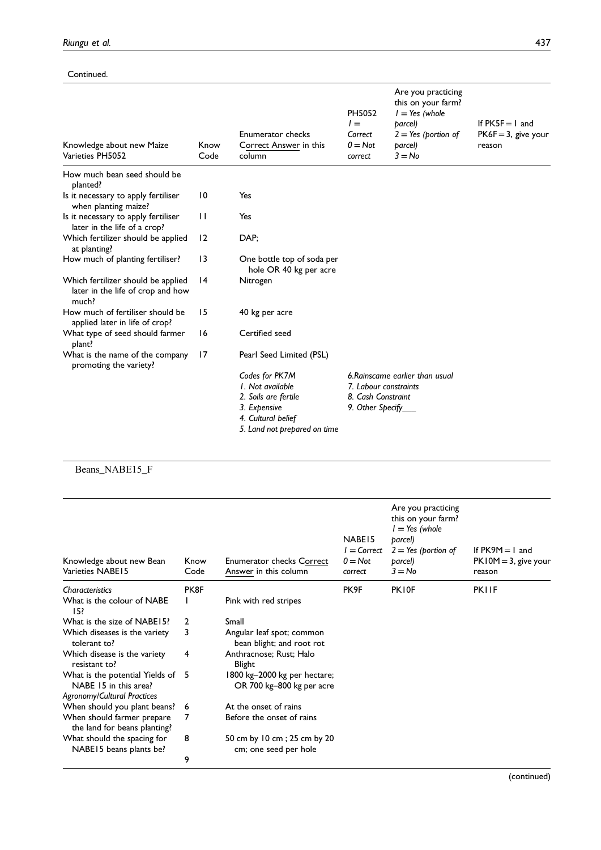## Continued.

| Knowledge about new Maize<br>Varieties PH5052                                    | Know<br>Code    | Enumerator checks<br>Correct Answer in this<br>column                                                                            | PH5052<br>$l =$<br>Correct<br>$0 = Not$<br>correct              | Are you practicing<br>this on your farm?<br>$l = Yes$ (whole<br>parcel)<br>$2 = Yes$ (portion of<br>barcel)<br>$3 = No$ | If $PK5F = 1$ and<br>$PK6F = 3$ , give your<br>reason |
|----------------------------------------------------------------------------------|-----------------|----------------------------------------------------------------------------------------------------------------------------------|-----------------------------------------------------------------|-------------------------------------------------------------------------------------------------------------------------|-------------------------------------------------------|
| How much bean seed should be<br>planted?                                         |                 |                                                                                                                                  |                                                                 |                                                                                                                         |                                                       |
| Is it necessary to apply fertiliser<br>when planting maize?                      | $\overline{10}$ | Yes                                                                                                                              |                                                                 |                                                                                                                         |                                                       |
| Is it necessary to apply fertiliser<br>later in the life of a crop?              | $\mathbf{H}$    | Yes                                                                                                                              |                                                                 |                                                                                                                         |                                                       |
| Which fertilizer should be applied<br>at planting?                               | 12              | DAP;                                                                                                                             |                                                                 |                                                                                                                         |                                                       |
| How much of planting fertiliser?                                                 | 13              | One bottle top of soda per<br>hole OR 40 kg per acre                                                                             |                                                                 |                                                                                                                         |                                                       |
| Which fertilizer should be applied<br>later in the life of crop and how<br>much? | 14              | Nitrogen                                                                                                                         |                                                                 |                                                                                                                         |                                                       |
| How much of fertiliser should be<br>applied later in life of crop?               | 15              | 40 kg per acre                                                                                                                   |                                                                 |                                                                                                                         |                                                       |
| What type of seed should farmer<br>plant?                                        | 16              | Certified seed                                                                                                                   |                                                                 |                                                                                                                         |                                                       |
| What is the name of the company<br>promoting the variety?                        | 17              | Pearl Seed Limited (PSL)                                                                                                         |                                                                 |                                                                                                                         |                                                       |
|                                                                                  |                 | Codes for PK7M<br>1. Not available<br>2. Soils are fertile<br>3. Expensive<br>4. Cultural belief<br>5. Land not prepared on time | 7. Labour constraints<br>8. Cash Constraint<br>9. Other Specify | 6. Rainscame earlier than usual                                                                                         |                                                       |

# Beans\_NABE15\_F

| Knowledge about new Bean<br>Varieties NABE15                                              | Know<br>Code | <b>Enumerator checks Correct</b><br>Answer in this column | NABE <sub>15</sub><br>l = Correct<br>$0 = Not$<br>correct | Are you practicing<br>this on your farm?<br>$l = Yes$ (whole<br>parcel)<br>$2 = Yes$ (portion of<br>parcel)<br>$3 = No$ | If $PK9M = 1$ and<br>$PK10M = 3$ , give your<br>reason |
|-------------------------------------------------------------------------------------------|--------------|-----------------------------------------------------------|-----------------------------------------------------------|-------------------------------------------------------------------------------------------------------------------------|--------------------------------------------------------|
| Characteristics                                                                           | PK8F         |                                                           | PK9F                                                      | PK10F                                                                                                                   | <b>PKIIF</b>                                           |
| What is the colour of NABE<br>15?                                                         |              | Pink with red stripes                                     |                                                           |                                                                                                                         |                                                        |
| What is the size of NABE15?                                                               | $\mathbf{2}$ | Small                                                     |                                                           |                                                                                                                         |                                                        |
| Which diseases is the variety<br>tolerant to?                                             | 3            | Angular leaf spot; common<br>bean blight; and root rot    |                                                           |                                                                                                                         |                                                        |
| Which disease is the variety<br>resistant to?                                             | 4            | Anthracnose; Rust; Halo<br><b>Blight</b>                  |                                                           |                                                                                                                         |                                                        |
| What is the potential Yields of 5<br>NABE 15 in this area?<br>Agronomy/Cultural Practices |              | 1800 kg-2000 kg per hectare;<br>OR 700 kg-800 kg per acre |                                                           |                                                                                                                         |                                                        |
| When should you plant beans? 6                                                            |              | At the onset of rains                                     |                                                           |                                                                                                                         |                                                        |
| When should farmer prepare<br>the land for beans planting?                                | 7            | Before the onset of rains                                 |                                                           |                                                                                                                         |                                                        |
| What should the spacing for<br>NABE15 beans plants be?                                    | 8            | 50 cm by 10 cm; 25 cm by 20<br>cm; one seed per hole      |                                                           |                                                                                                                         |                                                        |
|                                                                                           | 9            |                                                           |                                                           |                                                                                                                         |                                                        |
|                                                                                           |              |                                                           |                                                           |                                                                                                                         |                                                        |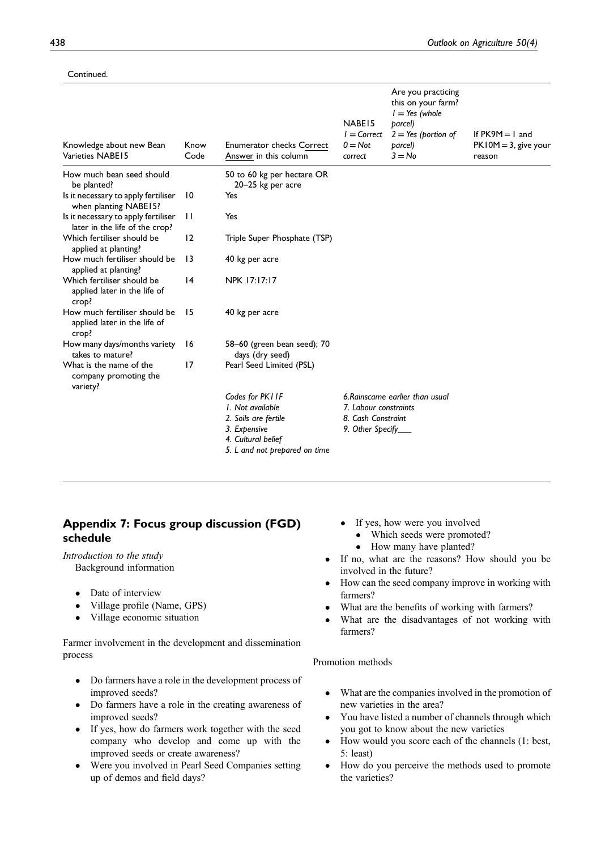## Continued.

| Knowledge about new Bean<br>Varieties NABE15                           | Know<br>Code    | <b>Enumerator checks Correct</b><br>Answer in this column | NABE <sub>15</sub><br>$I = Correct$<br>$0 = Not$<br>correct | Are you practicing<br>this on your farm?<br>$l = Yes$ (whole<br>parcel)<br>$2 = Yes$ (portion of<br>parcel)<br>$3 = No$ | If $PK9M = 1$ and<br>$PK10M = 3$ , give your<br>reason |
|------------------------------------------------------------------------|-----------------|-----------------------------------------------------------|-------------------------------------------------------------|-------------------------------------------------------------------------------------------------------------------------|--------------------------------------------------------|
| How much bean seed should<br>be planted?                               |                 | 50 to 60 kg per hectare OR<br>20–25 kg per acre           |                                                             |                                                                                                                         |                                                        |
| Is it necessary to apply fertiliser<br>when planting NABE15?           | $\overline{10}$ | Yes                                                       |                                                             |                                                                                                                         |                                                        |
| Is it necessary to apply fertiliser<br>later in the life of the crop?  | $\mathbf{I}$    | Yes                                                       |                                                             |                                                                                                                         |                                                        |
| Which fertiliser should be<br>applied at planting?                     | 12              | Triple Super Phosphate (TSP)                              |                                                             |                                                                                                                         |                                                        |
| How much fertiliser should be<br>applied at planting?                  | $\overline{13}$ | 40 kg per acre                                            |                                                             |                                                                                                                         |                                                        |
| Which fertiliser should be<br>applied later in the life of<br>crop?    | 4               | NPK 17:17:17                                              |                                                             |                                                                                                                         |                                                        |
| How much fertiliser should be<br>applied later in the life of<br>crop? | 15              | 40 kg per acre                                            |                                                             |                                                                                                                         |                                                        |
| How many days/months variety<br>takes to mature?                       | 16              | 58-60 (green bean seed); 70<br>days (dry seed)            |                                                             |                                                                                                                         |                                                        |
| What is the name of the<br>company promoting the<br>variety?           | 17              | Pearl Seed Limited (PSL)                                  |                                                             |                                                                                                                         |                                                        |
|                                                                        |                 | Codes for PKIIF                                           |                                                             | 6. Rainscame earlier than usual                                                                                         |                                                        |
|                                                                        |                 | 1. Not available                                          | 7. Labour constraints                                       |                                                                                                                         |                                                        |
|                                                                        |                 | 2. Soils are fertile                                      | 8. Cash Constraint                                          |                                                                                                                         |                                                        |
|                                                                        |                 | 3. Expensive                                              | 9. Other Specify_                                           |                                                                                                                         |                                                        |
|                                                                        |                 | 4. Cultural belief                                        |                                                             |                                                                                                                         |                                                        |
|                                                                        |                 | 5. L and not prepared on time                             |                                                             |                                                                                                                         |                                                        |

# Appendix 7: Focus group discussion (FGD) schedule

Introduction to the study Background information

- Date of interview
- Village profile (Name, GPS)
- Village economic situation

Farmer involvement in the development and dissemination process

- Do farmers have a role in the development process of improved seeds?
- Do farmers have a role in the creating awareness of improved seeds?
- If yes, how do farmers work together with the seed company who develop and come up with the improved seeds or create awareness?
- Were you involved in Pearl Seed Companies setting up of demos and field days?
- If yes, how were you involved
	- Which seeds were promoted?
	- How many have planted?
- If no, what are the reasons? How should you be involved in the future?
- How can the seed company improve in working with farmers?
- What are the benefits of working with farmers?
- What are the disadvantages of not working with farmers?

Promotion methods

- What are the companies involved in the promotion of new varieties in the area?
- You have listed a number of channels through which you got to know about the new varieties
- How would you score each of the channels (1: best, 5: least)
- How do you perceive the methods used to promote the varieties?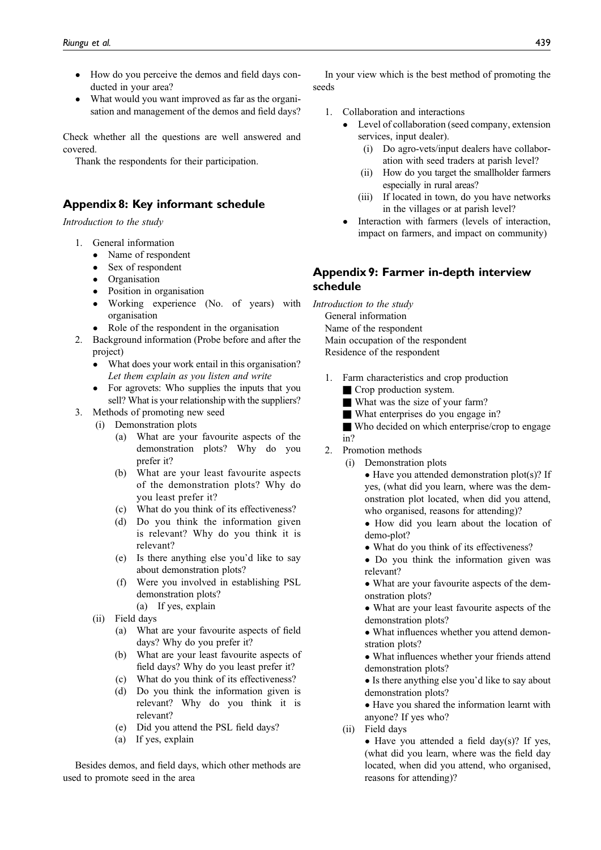- How do you perceive the demos and field days conducted in your area?
- What would you want improved as far as the organisation and management of the demos and field days?

Check whether all the questions are well answered and covered.

Thank the respondents for their participation.

# Appendix 8: Key informant schedule

Introduction to the study

- 1. General information
	- Name of respondent
	- Sex of respondent
	- Organisation
	- Position in organisation
	- Working experience (No. of years) with organisation
	- Role of the respondent in the organisation
- 2. Background information (Probe before and after the project)
	- What does your work entail in this organisation? Let them explain as you listen and write
	- For agrovets: Who supplies the inputs that you sell? What is your relationship with the suppliers?
- 3. Methods of promoting new seed
	- (i) Demonstration plots
		- (a) What are your favourite aspects of the demonstration plots? Why do you prefer it?
		- (b) What are your least favourite aspects of the demonstration plots? Why do you least prefer it?
		- (c) What do you think of its effectiveness?
		- (d) Do you think the information given is relevant? Why do you think it is relevant?
		- (e) Is there anything else you'd like to say about demonstration plots?
		- (f) Were you involved in establishing PSL demonstration plots?
			- (a) If yes, explain
	- (ii) Field days
		- (a) What are your favourite aspects of field days? Why do you prefer it?
		- (b) What are your least favourite aspects of field days? Why do you least prefer it?
		- (c) What do you think of its effectiveness?
		- (d) Do you think the information given is relevant? Why do you think it is relevant?
		- (e) Did you attend the PSL field days?
		- (a) If yes, explain

Besides demos, and field days, which other methods are used to promote seed in the area

In your view which is the best method of promoting the seeds

- 1. Collaboration and interactions
	- Level of collaboration (seed company, extension services, input dealer).
		- (i) Do agro-vets/input dealers have collaboration with seed traders at parish level?
		- (ii) How do you target the smallholder farmers especially in rural areas?
		- (iii) If located in town, do you have networks in the villages or at parish level?
	- Interaction with farmers (levels of interaction, impact on farmers, and impact on community)

# Appendix 9: Farmer in-depth interview schedule

Introduction to the study General information Name of the respondent Main occupation of the respondent Residence of the respondent

- 1. Farm characteristics and crop production ■ Crop production system.
	- What was the size of your farm?
	- What enterprises do you engage in?

■ Who decided on which enterprise/crop to engage in?

- 2. Promotion methods
	- (i) Demonstration plots

• Have you attended demonstration plot(s)? If yes, (what did you learn, where was the demonstration plot located, when did you attend, who organised, reasons for attending)?

• How did you learn about the location of demo-plot?

- What do you think of its effectiveness?
- Do you think the information given was relevant?
- What are your favourite aspects of the demonstration plots?
- What are your least favourite aspects of the demonstration plots?
- What influences whether you attend demonstration plots?
- What influences whether your friends attend demonstration plots?
- Is there anything else you'd like to say about demonstration plots?
- Have you shared the information learnt with anyone? If yes who?
- (ii) Field days

• Have you attended a field day(s)? If yes, (what did you learn, where was the field day located, when did you attend, who organised, reasons for attending)?